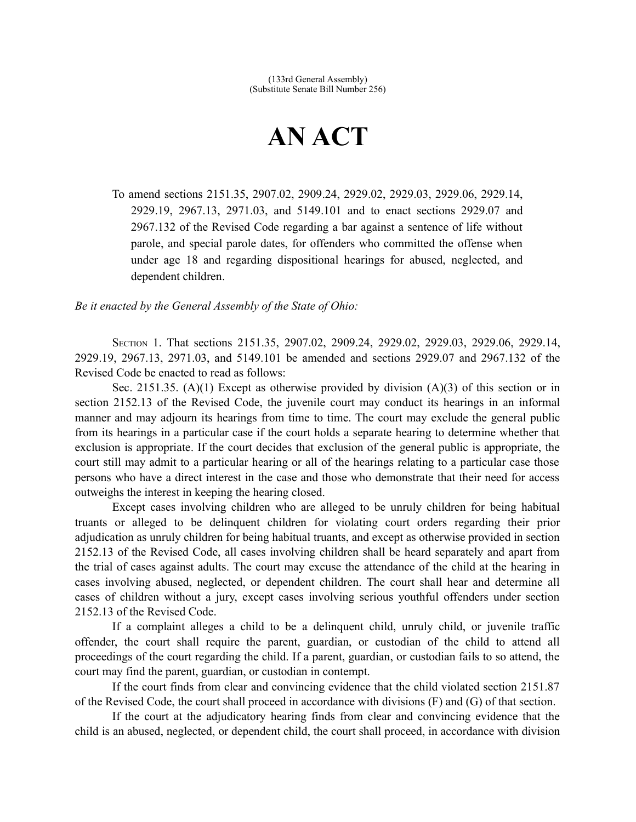## **AN ACT**

To amend sections 2151.35, 2907.02, 2909.24, 2929.02, 2929.03, 2929.06, 2929.14, 2929.19, 2967.13, 2971.03, and 5149.101 and to enact sections 2929.07 and 2967.132 of the Revised Code regarding a bar against a sentence of life without parole, and special parole dates, for offenders who committed the offense when under age 18 and regarding dispositional hearings for abused, neglected, and dependent children.

*Be it enacted by the General Assembly of the State of Ohio:*

SECTION 1. That sections 2151.35, 2907.02, 2909.24, 2929.02, 2929.03, 2929.06, 2929.14, 2929.19, 2967.13, 2971.03, and 5149.101 be amended and sections 2929.07 and 2967.132 of the Revised Code be enacted to read as follows:

Sec. 2151.35. (A)(1) Except as otherwise provided by division (A)(3) of this section or in section 2152.13 of the Revised Code, the juvenile court may conduct its hearings in an informal manner and may adjourn its hearings from time to time. The court may exclude the general public from its hearings in a particular case if the court holds a separate hearing to determine whether that exclusion is appropriate. If the court decides that exclusion of the general public is appropriate, the court still may admit to a particular hearing or all of the hearings relating to a particular case those persons who have a direct interest in the case and those who demonstrate that their need for access outweighs the interest in keeping the hearing closed.

Except cases involving children who are alleged to be unruly children for being habitual truants or alleged to be delinquent children for violating court orders regarding their prior adjudication as unruly children for being habitual truants, and except as otherwise provided in section 2152.13 of the Revised Code, all cases involving children shall be heard separately and apart from the trial of cases against adults. The court may excuse the attendance of the child at the hearing in cases involving abused, neglected, or dependent children. The court shall hear and determine all cases of children without a jury, except cases involving serious youthful offenders under section 2152.13 of the Revised Code.

If a complaint alleges a child to be a delinquent child, unruly child, or juvenile traffic offender, the court shall require the parent, guardian, or custodian of the child to attend all proceedings of the court regarding the child. If a parent, guardian, or custodian fails to so attend, the court may find the parent, guardian, or custodian in contempt.

If the court finds from clear and convincing evidence that the child violated section 2151.87 of the Revised Code, the court shall proceed in accordance with divisions (F) and (G) of that section.

If the court at the adjudicatory hearing finds from clear and convincing evidence that the child is an abused, neglected, or dependent child, the court shall proceed, in accordance with division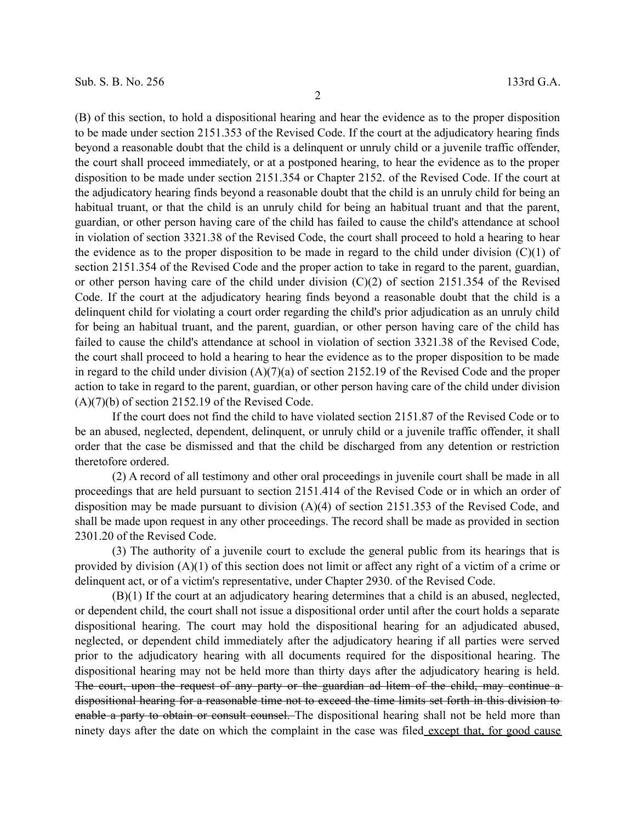(B) of this section, to hold a dispositional hearing and hear the evidence as to the proper disposition to be made under section 2151.353 of the Revised Code. If the court at the adjudicatory hearing finds beyond a reasonable doubt that the child is a delinquent or unruly child or a juvenile traffic offender, the court shall proceed immediately, or at a postponed hearing, to hear the evidence as to the proper disposition to be made under section 2151.354 or Chapter 2152. of the Revised Code. If the court at the adjudicatory hearing finds beyond a reasonable doubt that the child is an unruly child for being an habitual truant, or that the child is an unruly child for being an habitual truant and that the parent, guardian, or other person having care of the child has failed to cause the child's attendance at school in violation of section 3321.38 of the Revised Code, the court shall proceed to hold a hearing to hear the evidence as to the proper disposition to be made in regard to the child under division  $(C)(1)$  of section 2151.354 of the Revised Code and the proper action to take in regard to the parent, guardian, or other person having care of the child under division  $(C)(2)$  of section 2151.354 of the Revised Code. If the court at the adjudicatory hearing finds beyond a reasonable doubt that the child is a delinquent child for violating a court order regarding the child's prior adjudication as an unruly child for being an habitual truant, and the parent, guardian, or other person having care of the child has failed to cause the child's attendance at school in violation of section 3321.38 of the Revised Code, the court shall proceed to hold a hearing to hear the evidence as to the proper disposition to be made in regard to the child under division (A)(7)(a) of section 2152.19 of the Revised Code and the proper action to take in regard to the parent, guardian, or other person having care of the child under division  $(A)(7)(b)$  of section 2152.19 of the Revised Code.

If the court does not find the child to have violated section 2151.87 of the Revised Code or to be an abused, neglected, dependent, delinquent, or unruly child or a juvenile traffic offender, it shall order that the case be dismissed and that the child be discharged from any detention or restriction theretofore ordered.

(2) A record of all testimony and other oral proceedings in juvenile court shall be made in all proceedings that are held pursuant to section 2151.414 of the Revised Code or in which an order of disposition may be made pursuant to division (A)(4) of section 2151.353 of the Revised Code, and shall be made upon request in any other proceedings. The record shall be made as provided in section 2301.20 of the Revised Code.

(3) The authority of a juvenile court to exclude the general public from its hearings that is provided by division  $(A)(1)$  of this section does not limit or affect any right of a victim of a crime or delinquent act, or of a victim's representative, under Chapter 2930. of the Revised Code.

(B)(1) If the court at an adjudicatory hearing determines that a child is an abused, neglected, or dependent child, the court shall not issue a dispositional order until after the court holds a separate dispositional hearing. The court may hold the dispositional hearing for an adjudicated abused, neglected, or dependent child immediately after the adjudicatory hearing if all parties were served prior to the adjudicatory hearing with all documents required for the dispositional hearing. The dispositional hearing may not be held more than thirty days after the adjudicatory hearing is held. The court, upon the request of any party or the guardian ad litem of the child, may continue a dispositional hearing for a reasonable time not to exceed the time limits set forth in this division to enable a party to obtain or consult counsel. The dispositional hearing shall not be held more than ninety days after the date on which the complaint in the case was filed except that, for good cause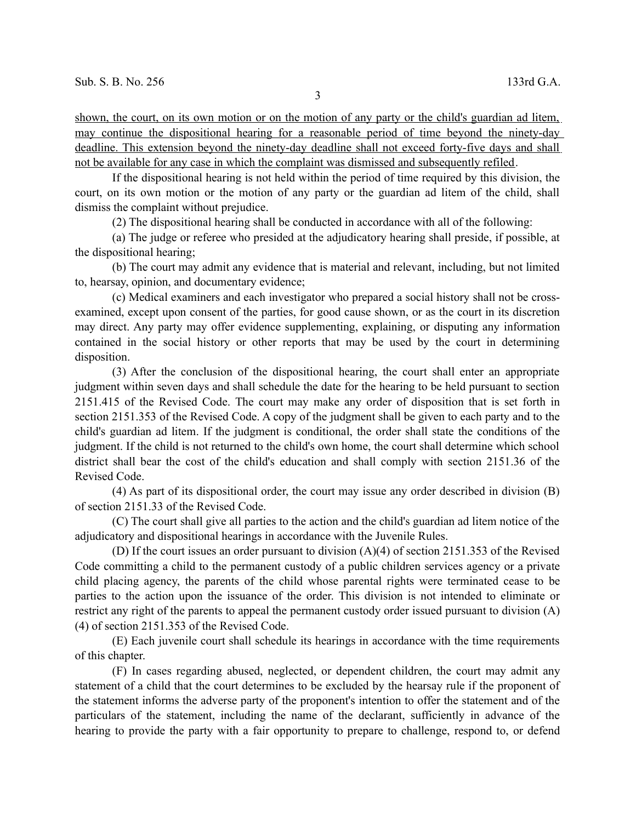shown, the court, on its own motion or on the motion of any party or the child's guardian ad litem, may continue the dispositional hearing for a reasonable period of time beyond the ninety-day deadline. This extension beyond the ninety-day deadline shall not exceed forty-five days and shall not be available for any case in which the complaint was dismissed and subsequently refiled.

If the dispositional hearing is not held within the period of time required by this division, the court, on its own motion or the motion of any party or the guardian ad litem of the child, shall dismiss the complaint without prejudice.

(2) The dispositional hearing shall be conducted in accordance with all of the following:

(a) The judge or referee who presided at the adjudicatory hearing shall preside, if possible, at the dispositional hearing;

(b) The court may admit any evidence that is material and relevant, including, but not limited to, hearsay, opinion, and documentary evidence;

(c) Medical examiners and each investigator who prepared a social history shall not be crossexamined, except upon consent of the parties, for good cause shown, or as the court in its discretion may direct. Any party may offer evidence supplementing, explaining, or disputing any information contained in the social history or other reports that may be used by the court in determining disposition.

(3) After the conclusion of the dispositional hearing, the court shall enter an appropriate judgment within seven days and shall schedule the date for the hearing to be held pursuant to section 2151.415 of the Revised Code. The court may make any order of disposition that is set forth in section 2151.353 of the Revised Code. A copy of the judgment shall be given to each party and to the child's guardian ad litem. If the judgment is conditional, the order shall state the conditions of the judgment. If the child is not returned to the child's own home, the court shall determine which school district shall bear the cost of the child's education and shall comply with section 2151.36 of the Revised Code.

(4) As part of its dispositional order, the court may issue any order described in division (B) of section 2151.33 of the Revised Code.

(C) The court shall give all parties to the action and the child's guardian ad litem notice of the adjudicatory and dispositional hearings in accordance with the Juvenile Rules.

(D) If the court issues an order pursuant to division (A)(4) of section 2151.353 of the Revised Code committing a child to the permanent custody of a public children services agency or a private child placing agency, the parents of the child whose parental rights were terminated cease to be parties to the action upon the issuance of the order. This division is not intended to eliminate or restrict any right of the parents to appeal the permanent custody order issued pursuant to division (A) (4) of section 2151.353 of the Revised Code.

(E) Each juvenile court shall schedule its hearings in accordance with the time requirements of this chapter.

(F) In cases regarding abused, neglected, or dependent children, the court may admit any statement of a child that the court determines to be excluded by the hearsay rule if the proponent of the statement informs the adverse party of the proponent's intention to offer the statement and of the particulars of the statement, including the name of the declarant, sufficiently in advance of the hearing to provide the party with a fair opportunity to prepare to challenge, respond to, or defend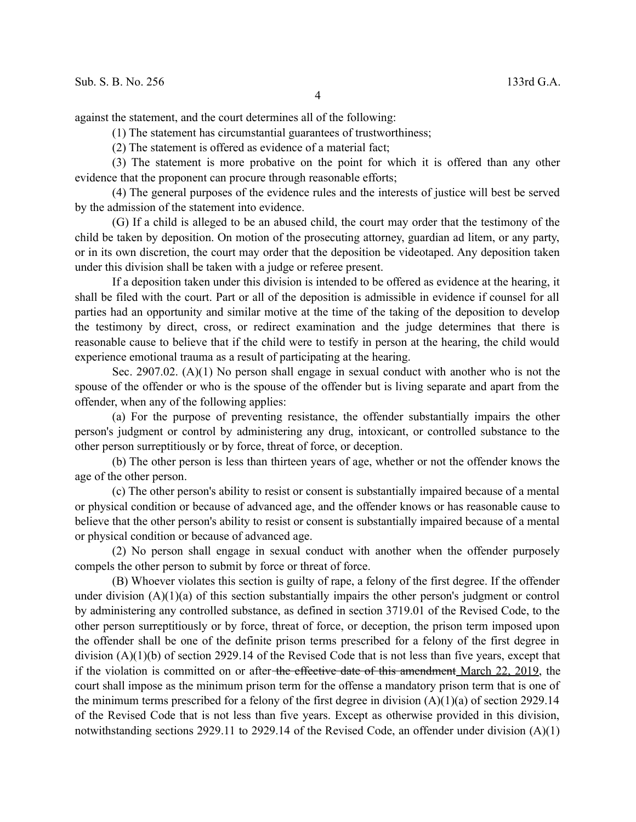against the statement, and the court determines all of the following:

(1) The statement has circumstantial guarantees of trustworthiness;

(2) The statement is offered as evidence of a material fact;

(3) The statement is more probative on the point for which it is offered than any other evidence that the proponent can procure through reasonable efforts;

(4) The general purposes of the evidence rules and the interests of justice will best be served by the admission of the statement into evidence.

(G) If a child is alleged to be an abused child, the court may order that the testimony of the child be taken by deposition. On motion of the prosecuting attorney, guardian ad litem, or any party, or in its own discretion, the court may order that the deposition be videotaped. Any deposition taken under this division shall be taken with a judge or referee present.

If a deposition taken under this division is intended to be offered as evidence at the hearing, it shall be filed with the court. Part or all of the deposition is admissible in evidence if counsel for all parties had an opportunity and similar motive at the time of the taking of the deposition to develop the testimony by direct, cross, or redirect examination and the judge determines that there is reasonable cause to believe that if the child were to testify in person at the hearing, the child would experience emotional trauma as a result of participating at the hearing.

Sec. 2907.02. (A)(1) No person shall engage in sexual conduct with another who is not the spouse of the offender or who is the spouse of the offender but is living separate and apart from the offender, when any of the following applies:

(a) For the purpose of preventing resistance, the offender substantially impairs the other person's judgment or control by administering any drug, intoxicant, or controlled substance to the other person surreptitiously or by force, threat of force, or deception.

(b) The other person is less than thirteen years of age, whether or not the offender knows the age of the other person.

(c) The other person's ability to resist or consent is substantially impaired because of a mental or physical condition or because of advanced age, and the offender knows or has reasonable cause to believe that the other person's ability to resist or consent is substantially impaired because of a mental or physical condition or because of advanced age.

(2) No person shall engage in sexual conduct with another when the offender purposely compels the other person to submit by force or threat of force.

(B) Whoever violates this section is guilty of rape, a felony of the first degree. If the offender under division  $(A)(1)(a)$  of this section substantially impairs the other person's judgment or control by administering any controlled substance, as defined in section 3719.01 of the Revised Code, to the other person surreptitiously or by force, threat of force, or deception, the prison term imposed upon the offender shall be one of the definite prison terms prescribed for a felony of the first degree in division (A)(1)(b) of section 2929.14 of the Revised Code that is not less than five years, except that if the violation is committed on or after the effective date of this amendment March 22, 2019, the court shall impose as the minimum prison term for the offense a mandatory prison term that is one of the minimum terms prescribed for a felony of the first degree in division  $(A)(1)(a)$  of section 2929.14 of the Revised Code that is not less than five years. Except as otherwise provided in this division, notwithstanding sections 2929.11 to 2929.14 of the Revised Code, an offender under division (A)(1)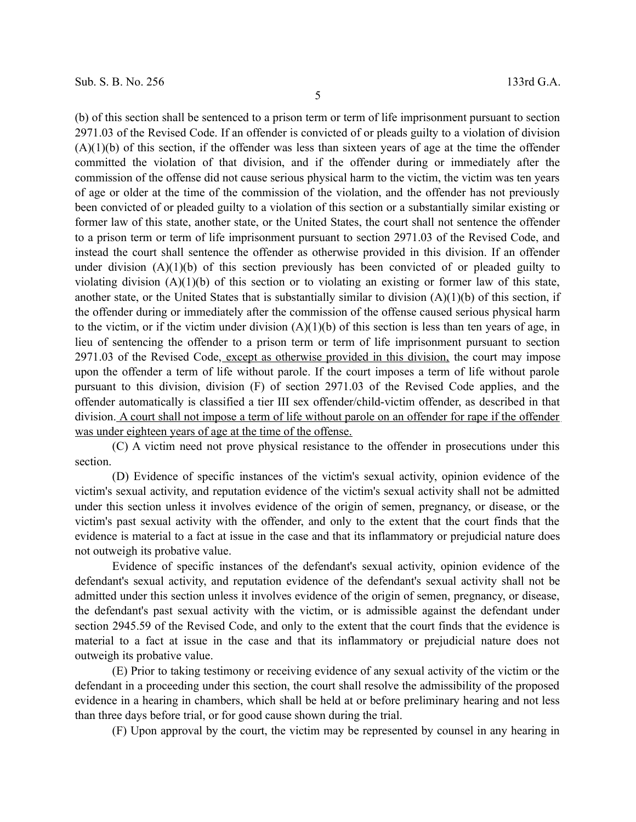(b) of this section shall be sentenced to a prison term or term of life imprisonment pursuant to section 2971.03 of the Revised Code. If an offender is convicted of or pleads guilty to a violation of division  $(A)(1)(b)$  of this section, if the offender was less than sixteen years of age at the time the offender committed the violation of that division, and if the offender during or immediately after the commission of the offense did not cause serious physical harm to the victim, the victim was ten years of age or older at the time of the commission of the violation, and the offender has not previously been convicted of or pleaded guilty to a violation of this section or a substantially similar existing or former law of this state, another state, or the United States, the court shall not sentence the offender to a prison term or term of life imprisonment pursuant to section 2971.03 of the Revised Code, and instead the court shall sentence the offender as otherwise provided in this division. If an offender under division  $(A)(1)(b)$  of this section previously has been convicted of or pleaded guilty to violating division  $(A)(1)(b)$  of this section or to violating an existing or former law of this state, another state, or the United States that is substantially similar to division  $(A)(1)(b)$  of this section, if the offender during or immediately after the commission of the offense caused serious physical harm to the victim, or if the victim under division  $(A)(1)(b)$  of this section is less than ten years of age, in lieu of sentencing the offender to a prison term or term of life imprisonment pursuant to section 2971.03 of the Revised Code, except as otherwise provided in this division, the court may impose upon the offender a term of life without parole. If the court imposes a term of life without parole pursuant to this division, division (F) of section 2971.03 of the Revised Code applies, and the offender automatically is classified a tier III sex offender/child-victim offender, as described in that division. A court shall not impose a term of life without parole on an offender for rape if the offender was under eighteen years of age at the time of the offense.

(C) A victim need not prove physical resistance to the offender in prosecutions under this section.

(D) Evidence of specific instances of the victim's sexual activity, opinion evidence of the victim's sexual activity, and reputation evidence of the victim's sexual activity shall not be admitted under this section unless it involves evidence of the origin of semen, pregnancy, or disease, or the victim's past sexual activity with the offender, and only to the extent that the court finds that the evidence is material to a fact at issue in the case and that its inflammatory or prejudicial nature does not outweigh its probative value.

Evidence of specific instances of the defendant's sexual activity, opinion evidence of the defendant's sexual activity, and reputation evidence of the defendant's sexual activity shall not be admitted under this section unless it involves evidence of the origin of semen, pregnancy, or disease, the defendant's past sexual activity with the victim, or is admissible against the defendant under section 2945.59 of the Revised Code, and only to the extent that the court finds that the evidence is material to a fact at issue in the case and that its inflammatory or prejudicial nature does not outweigh its probative value.

(E) Prior to taking testimony or receiving evidence of any sexual activity of the victim or the defendant in a proceeding under this section, the court shall resolve the admissibility of the proposed evidence in a hearing in chambers, which shall be held at or before preliminary hearing and not less than three days before trial, or for good cause shown during the trial.

(F) Upon approval by the court, the victim may be represented by counsel in any hearing in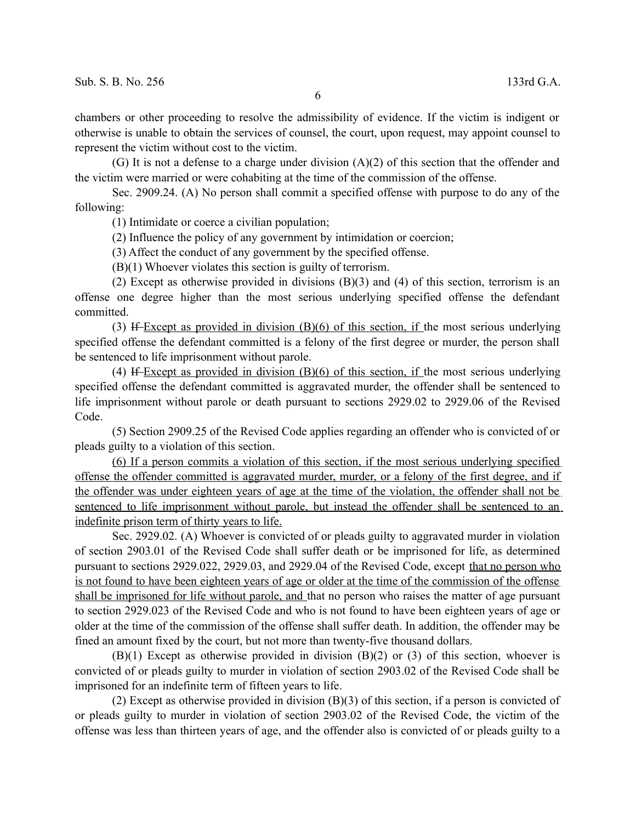chambers or other proceeding to resolve the admissibility of evidence. If the victim is indigent or otherwise is unable to obtain the services of counsel, the court, upon request, may appoint counsel to represent the victim without cost to the victim.

(G) It is not a defense to a charge under division (A)(2) of this section that the offender and the victim were married or were cohabiting at the time of the commission of the offense.

Sec. 2909.24. (A) No person shall commit a specified offense with purpose to do any of the following:

(1) Intimidate or coerce a civilian population;

(2) Influence the policy of any government by intimidation or coercion;

(3) Affect the conduct of any government by the specified offense.

(B)(1) Whoever violates this section is guilty of terrorism.

(2) Except as otherwise provided in divisions (B)(3) and (4) of this section, terrorism is an offense one degree higher than the most serious underlying specified offense the defendant committed.

(3) If Except as provided in division  $(B)(6)$  of this section, if the most serious underlying specified offense the defendant committed is a felony of the first degree or murder, the person shall be sentenced to life imprisonment without parole.

(4) If Except as provided in division  $(B)(6)$  of this section, if the most serious underlying specified offense the defendant committed is aggravated murder, the offender shall be sentenced to life imprisonment without parole or death pursuant to sections 2929.02 to 2929.06 of the Revised Code.

(5) Section 2909.25 of the Revised Code applies regarding an offender who is convicted of or pleads guilty to a violation of this section.

(6) If a person commits a violation of this section, if the most serious underlying specified offense the offender committed is aggravated murder, murder, or a felony of the first degree, and if the offender was under eighteen years of age at the time of the violation, the offender shall not be sentenced to life imprisonment without parole, but instead the offender shall be sentenced to an indefinite prison term of thirty years to life.

Sec. 2929.02. (A) Whoever is convicted of or pleads guilty to aggravated murder in violation of section 2903.01 of the Revised Code shall suffer death or be imprisoned for life, as determined pursuant to sections 2929.022, 2929.03, and 2929.04 of the Revised Code, except that no person who is not found to have been eighteen years of age or older at the time of the commission of the offense shall be imprisoned for life without parole, and that no person who raises the matter of age pursuant to section 2929.023 of the Revised Code and who is not found to have been eighteen years of age or older at the time of the commission of the offense shall suffer death. In addition, the offender may be fined an amount fixed by the court, but not more than twenty-five thousand dollars.

(B)(1) Except as otherwise provided in division (B)(2) or (3) of this section, whoever is convicted of or pleads guilty to murder in violation of section 2903.02 of the Revised Code shall be imprisoned for an indefinite term of fifteen years to life.

(2) Except as otherwise provided in division (B)(3) of this section, if a person is convicted of or pleads guilty to murder in violation of section 2903.02 of the Revised Code, the victim of the offense was less than thirteen years of age, and the offender also is convicted of or pleads guilty to a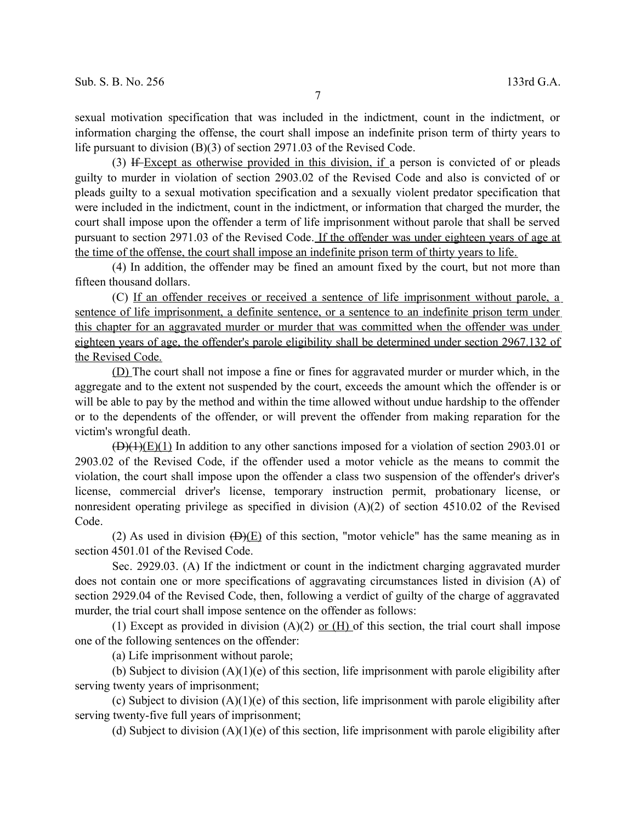7

sexual motivation specification that was included in the indictment, count in the indictment, or information charging the offense, the court shall impose an indefinite prison term of thirty years to life pursuant to division (B)(3) of section 2971.03 of the Revised Code.

(3) If Except as otherwise provided in this division, if a person is convicted of or pleads guilty to murder in violation of section 2903.02 of the Revised Code and also is convicted of or pleads guilty to a sexual motivation specification and a sexually violent predator specification that were included in the indictment, count in the indictment, or information that charged the murder, the court shall impose upon the offender a term of life imprisonment without parole that shall be served pursuant to section 2971.03 of the Revised Code. If the offender was under eighteen years of age at the time of the offense, the court shall impose an indefinite prison term of thirty years to life.

(4) In addition, the offender may be fined an amount fixed by the court, but not more than fifteen thousand dollars.

(C) If an offender receives or received a sentence of life imprisonment without parole, a sentence of life imprisonment, a definite sentence, or a sentence to an indefinite prison term under this chapter for an aggravated murder or murder that was committed when the offender was under eighteen years of age, the offender's parole eligibility shall be determined under section 2967.132 of the Revised Code.

(D) The court shall not impose a fine or fines for aggravated murder or murder which, in the aggregate and to the extent not suspended by the court, exceeds the amount which the offender is or will be able to pay by the method and within the time allowed without undue hardship to the offender or to the dependents of the offender, or will prevent the offender from making reparation for the victim's wrongful death.

 $(\overline{D}(1)(E)(1))$  In addition to any other sanctions imposed for a violation of section 2903.01 or 2903.02 of the Revised Code, if the offender used a motor vehicle as the means to commit the violation, the court shall impose upon the offender a class two suspension of the offender's driver's license, commercial driver's license, temporary instruction permit, probationary license, or nonresident operating privilege as specified in division (A)(2) of section 4510.02 of the Revised Code.

(2) As used in division  $(\overline{D})(E)$  of this section, "motor vehicle" has the same meaning as in section 4501.01 of the Revised Code.

Sec. 2929.03. (A) If the indictment or count in the indictment charging aggravated murder does not contain one or more specifications of aggravating circumstances listed in division (A) of section 2929.04 of the Revised Code, then, following a verdict of guilty of the charge of aggravated murder, the trial court shall impose sentence on the offender as follows:

(1) Except as provided in division  $(A)(2)$  or  $(H)$  of this section, the trial court shall impose one of the following sentences on the offender:

(a) Life imprisonment without parole;

(b) Subject to division (A)(1)(e) of this section, life imprisonment with parole eligibility after serving twenty years of imprisonment;

(c) Subject to division (A)(1)(e) of this section, life imprisonment with parole eligibility after serving twenty-five full years of imprisonment;

(d) Subject to division  $(A)(1)(e)$  of this section, life imprisonment with parole eligibility after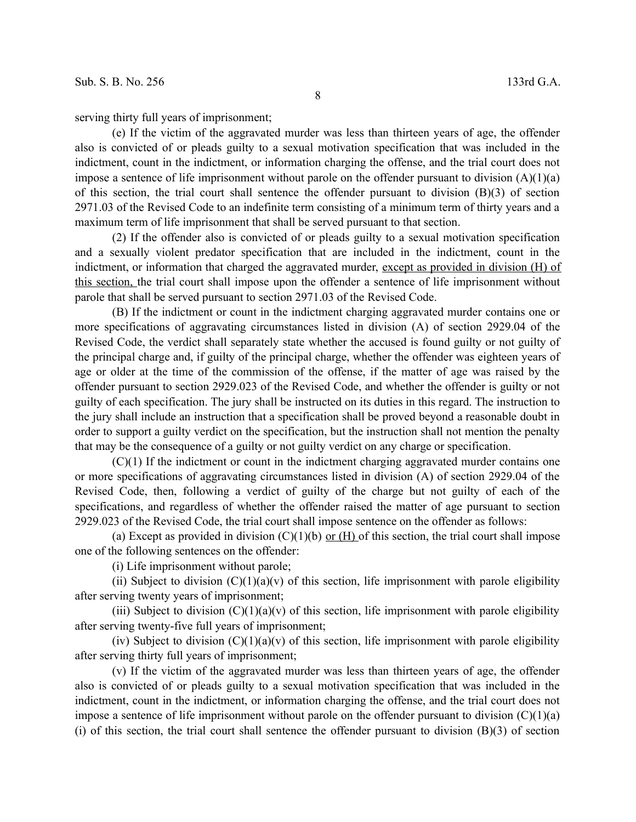serving thirty full years of imprisonment;

(e) If the victim of the aggravated murder was less than thirteen years of age, the offender also is convicted of or pleads guilty to a sexual motivation specification that was included in the indictment, count in the indictment, or information charging the offense, and the trial court does not impose a sentence of life imprisonment without parole on the offender pursuant to division (A)(1)(a) of this section, the trial court shall sentence the offender pursuant to division (B)(3) of section 2971.03 of the Revised Code to an indefinite term consisting of a minimum term of thirty years and a maximum term of life imprisonment that shall be served pursuant to that section.

(2) If the offender also is convicted of or pleads guilty to a sexual motivation specification and a sexually violent predator specification that are included in the indictment, count in the indictment, or information that charged the aggravated murder, except as provided in division (H) of this section, the trial court shall impose upon the offender a sentence of life imprisonment without parole that shall be served pursuant to section 2971.03 of the Revised Code.

(B) If the indictment or count in the indictment charging aggravated murder contains one or more specifications of aggravating circumstances listed in division (A) of section 2929.04 of the Revised Code, the verdict shall separately state whether the accused is found guilty or not guilty of the principal charge and, if guilty of the principal charge, whether the offender was eighteen years of age or older at the time of the commission of the offense, if the matter of age was raised by the offender pursuant to section 2929.023 of the Revised Code, and whether the offender is guilty or not guilty of each specification. The jury shall be instructed on its duties in this regard. The instruction to the jury shall include an instruction that a specification shall be proved beyond a reasonable doubt in order to support a guilty verdict on the specification, but the instruction shall not mention the penalty that may be the consequence of a guilty or not guilty verdict on any charge or specification.

 $(C)(1)$  If the indictment or count in the indictment charging aggravated murder contains one or more specifications of aggravating circumstances listed in division (A) of section 2929.04 of the Revised Code, then, following a verdict of guilty of the charge but not guilty of each of the specifications, and regardless of whether the offender raised the matter of age pursuant to section 2929.023 of the Revised Code, the trial court shall impose sentence on the offender as follows:

(a) Except as provided in division  $(C)(1)(b)$  or  $(H)$  of this section, the trial court shall impose one of the following sentences on the offender:

(i) Life imprisonment without parole;

(ii) Subject to division  $(C)(1)(a)(v)$  of this section, life imprisonment with parole eligibility after serving twenty years of imprisonment;

(iii) Subject to division  $(C)(1)(a)(v)$  of this section, life imprisonment with parole eligibility after serving twenty-five full years of imprisonment;

(iv) Subject to division  $(C)(1)(a)(v)$  of this section, life imprisonment with parole eligibility after serving thirty full years of imprisonment;

(v) If the victim of the aggravated murder was less than thirteen years of age, the offender also is convicted of or pleads guilty to a sexual motivation specification that was included in the indictment, count in the indictment, or information charging the offense, and the trial court does not impose a sentence of life imprisonment without parole on the offender pursuant to division  $(C)(1)(a)$ (i) of this section, the trial court shall sentence the offender pursuant to division (B)(3) of section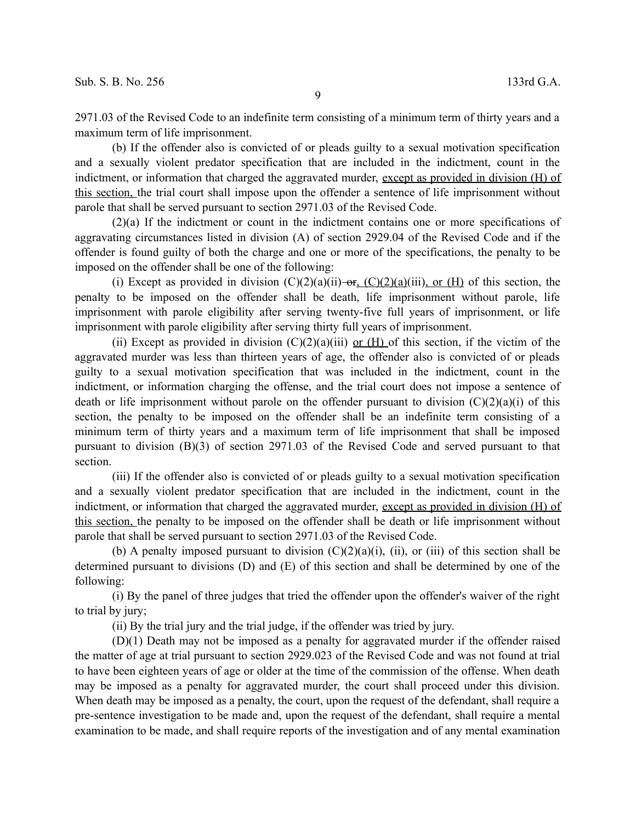2971.03 of the Revised Code to an indefinite term consisting of a minimum term of thirty years and a maximum term of life imprisonment.

(b) If the offender also is convicted of or pleads guilty to a sexual motivation specification and a sexually violent predator specification that are included in the indictment, count in the indictment, or information that charged the aggravated murder, except as provided in division (H) of this section, the trial court shall impose upon the offender a sentence of life imprisonment without parole that shall be served pursuant to section 2971.03 of the Revised Code.

(2)(a) If the indictment or count in the indictment contains one or more specifications of aggravating circumstances listed in division (A) of section 2929.04 of the Revised Code and if the offender is found guilty of both the charge and one or more of the specifications, the penalty to be imposed on the offender shall be one of the following:

(i) Except as provided in division  $(C)(2)(a)(ii) - or$ ,  $(C)(2)(a)(iii)$ , or  $(H)$  of this section, the penalty to be imposed on the offender shall be death, life imprisonment without parole, life imprisonment with parole eligibility after serving twenty-five full years of imprisonment, or life imprisonment with parole eligibility after serving thirty full years of imprisonment.

(ii) Except as provided in division  $(C)(2)(a)(iii)$  or  $(H)$  of this section, if the victim of the aggravated murder was less than thirteen years of age, the offender also is convicted of or pleads guilty to a sexual motivation specification that was included in the indictment, count in the indictment, or information charging the offense, and the trial court does not impose a sentence of death or life imprisonment without parole on the offender pursuant to division  $(C)(2)(a)(i)$  of this section, the penalty to be imposed on the offender shall be an indefinite term consisting of a minimum term of thirty years and a maximum term of life imprisonment that shall be imposed pursuant to division (B)(3) of section 2971.03 of the Revised Code and served pursuant to that section.

(iii) If the offender also is convicted of or pleads guilty to a sexual motivation specification and a sexually violent predator specification that are included in the indictment, count in the indictment, or information that charged the aggravated murder, except as provided in division (H) of this section, the penalty to be imposed on the offender shall be death or life imprisonment without parole that shall be served pursuant to section 2971.03 of the Revised Code.

(b) A penalty imposed pursuant to division  $(C)(2)(a)(i)$ , (ii), or (iii) of this section shall be determined pursuant to divisions (D) and (E) of this section and shall be determined by one of the following:

(i) By the panel of three judges that tried the offender upon the offender's waiver of the right to trial by jury;

(ii) By the trial jury and the trial judge, if the offender was tried by jury.

(D)(1) Death may not be imposed as a penalty for aggravated murder if the offender raised the matter of age at trial pursuant to section 2929.023 of the Revised Code and was not found at trial to have been eighteen years of age or older at the time of the commission of the offense. When death may be imposed as a penalty for aggravated murder, the court shall proceed under this division. When death may be imposed as a penalty, the court, upon the request of the defendant, shall require a pre-sentence investigation to be made and, upon the request of the defendant, shall require a mental examination to be made, and shall require reports of the investigation and of any mental examination

9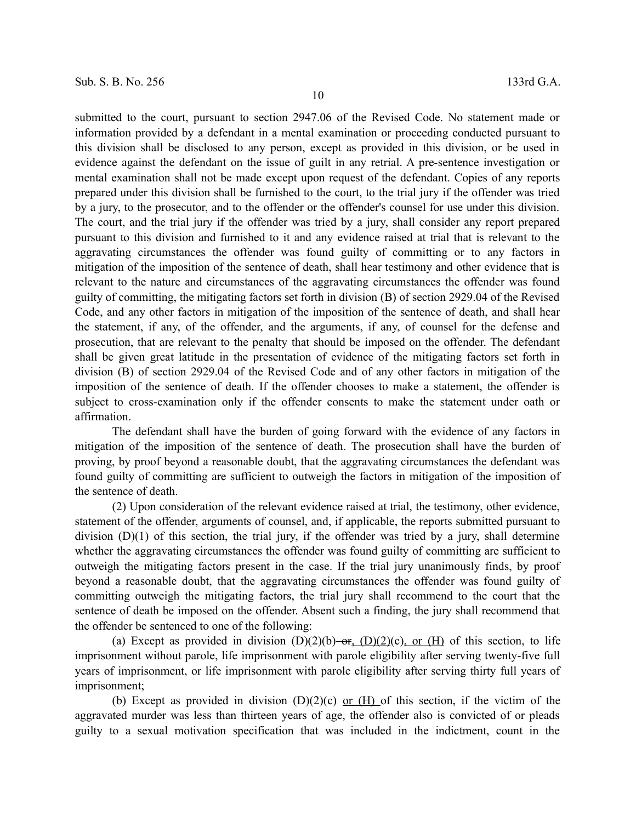submitted to the court, pursuant to section 2947.06 of the Revised Code. No statement made or information provided by a defendant in a mental examination or proceeding conducted pursuant to this division shall be disclosed to any person, except as provided in this division, or be used in evidence against the defendant on the issue of guilt in any retrial. A pre-sentence investigation or mental examination shall not be made except upon request of the defendant. Copies of any reports prepared under this division shall be furnished to the court, to the trial jury if the offender was tried by a jury, to the prosecutor, and to the offender or the offender's counsel for use under this division. The court, and the trial jury if the offender was tried by a jury, shall consider any report prepared pursuant to this division and furnished to it and any evidence raised at trial that is relevant to the aggravating circumstances the offender was found guilty of committing or to any factors in mitigation of the imposition of the sentence of death, shall hear testimony and other evidence that is relevant to the nature and circumstances of the aggravating circumstances the offender was found guilty of committing, the mitigating factors set forth in division (B) of section 2929.04 of the Revised Code, and any other factors in mitigation of the imposition of the sentence of death, and shall hear the statement, if any, of the offender, and the arguments, if any, of counsel for the defense and prosecution, that are relevant to the penalty that should be imposed on the offender. The defendant shall be given great latitude in the presentation of evidence of the mitigating factors set forth in division (B) of section 2929.04 of the Revised Code and of any other factors in mitigation of the imposition of the sentence of death. If the offender chooses to make a statement, the offender is subject to cross-examination only if the offender consents to make the statement under oath or affirmation.

The defendant shall have the burden of going forward with the evidence of any factors in mitigation of the imposition of the sentence of death. The prosecution shall have the burden of proving, by proof beyond a reasonable doubt, that the aggravating circumstances the defendant was found guilty of committing are sufficient to outweigh the factors in mitigation of the imposition of the sentence of death.

(2) Upon consideration of the relevant evidence raised at trial, the testimony, other evidence, statement of the offender, arguments of counsel, and, if applicable, the reports submitted pursuant to division  $(D)(1)$  of this section, the trial jury, if the offender was tried by a jury, shall determine whether the aggravating circumstances the offender was found guilty of committing are sufficient to outweigh the mitigating factors present in the case. If the trial jury unanimously finds, by proof beyond a reasonable doubt, that the aggravating circumstances the offender was found guilty of committing outweigh the mitigating factors, the trial jury shall recommend to the court that the sentence of death be imposed on the offender. Absent such a finding, the jury shall recommend that the offender be sentenced to one of the following:

(a) Except as provided in division  $(D)(2)(b)$  or,  $(D)(2)(c)$ , or  $(H)$  of this section, to life imprisonment without parole, life imprisonment with parole eligibility after serving twenty-five full years of imprisonment, or life imprisonment with parole eligibility after serving thirty full years of imprisonment;

(b) Except as provided in division  $(D)(2)(c)$  or  $(H)$  of this section, if the victim of the aggravated murder was less than thirteen years of age, the offender also is convicted of or pleads guilty to a sexual motivation specification that was included in the indictment, count in the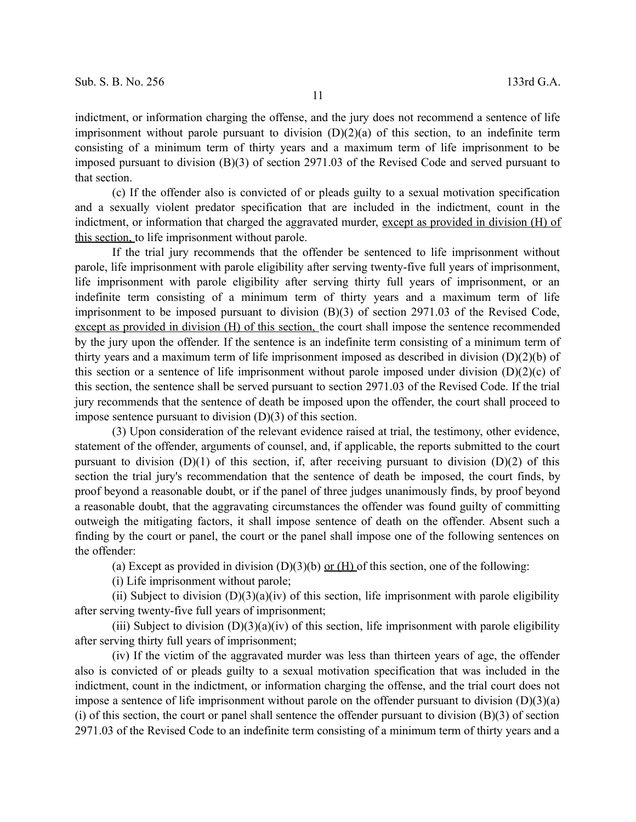indictment, or information charging the offense, and the jury does not recommend a sentence of life imprisonment without parole pursuant to division  $(D)(2)(a)$  of this section, to an indefinite term consisting of a minimum term of thirty years and a maximum term of life imprisonment to be imposed pursuant to division (B)(3) of section 2971.03 of the Revised Code and served pursuant to that section.

(c) If the offender also is convicted of or pleads guilty to a sexual motivation specification and a sexually violent predator specification that are included in the indictment, count in the indictment, or information that charged the aggravated murder, except as provided in division (H) of this section, to life imprisonment without parole.

If the trial jury recommends that the offender be sentenced to life imprisonment without parole, life imprisonment with parole eligibility after serving twenty-five full years of imprisonment, life imprisonment with parole eligibility after serving thirty full years of imprisonment, or an indefinite term consisting of a minimum term of thirty years and a maximum term of life imprisonment to be imposed pursuant to division (B)(3) of section 2971.03 of the Revised Code, except as provided in division (H) of this section, the court shall impose the sentence recommended by the jury upon the offender. If the sentence is an indefinite term consisting of a minimum term of thirty years and a maximum term of life imprisonment imposed as described in division (D)(2)(b) of this section or a sentence of life imprisonment without parole imposed under division  $(D)(2)(c)$  of this section, the sentence shall be served pursuant to section 2971.03 of the Revised Code. If the trial jury recommends that the sentence of death be imposed upon the offender, the court shall proceed to impose sentence pursuant to division (D)(3) of this section.

(3) Upon consideration of the relevant evidence raised at trial, the testimony, other evidence, statement of the offender, arguments of counsel, and, if applicable, the reports submitted to the court pursuant to division  $(D)(1)$  of this section, if, after receiving pursuant to division  $(D)(2)$  of this section the trial jury's recommendation that the sentence of death be imposed, the court finds, by proof beyond a reasonable doubt, or if the panel of three judges unanimously finds, by proof beyond a reasonable doubt, that the aggravating circumstances the offender was found guilty of committing outweigh the mitigating factors, it shall impose sentence of death on the offender. Absent such a finding by the court or panel, the court or the panel shall impose one of the following sentences on the offender:

(a) Except as provided in division  $(D)(3)(b)$  or  $(H)$  of this section, one of the following:

(i) Life imprisonment without parole;

(ii) Subject to division  $(D)(3)(a)(iv)$  of this section, life imprisonment with parole eligibility after serving twenty-five full years of imprisonment;

(iii) Subject to division  $(D)(3)(a)(iv)$  of this section, life imprisonment with parole eligibility after serving thirty full years of imprisonment;

(iv) If the victim of the aggravated murder was less than thirteen years of age, the offender also is convicted of or pleads guilty to a sexual motivation specification that was included in the indictment, count in the indictment, or information charging the offense, and the trial court does not impose a sentence of life imprisonment without parole on the offender pursuant to division  $(D)(3)(a)$ (i) of this section, the court or panel shall sentence the offender pursuant to division (B)(3) of section 2971.03 of the Revised Code to an indefinite term consisting of a minimum term of thirty years and a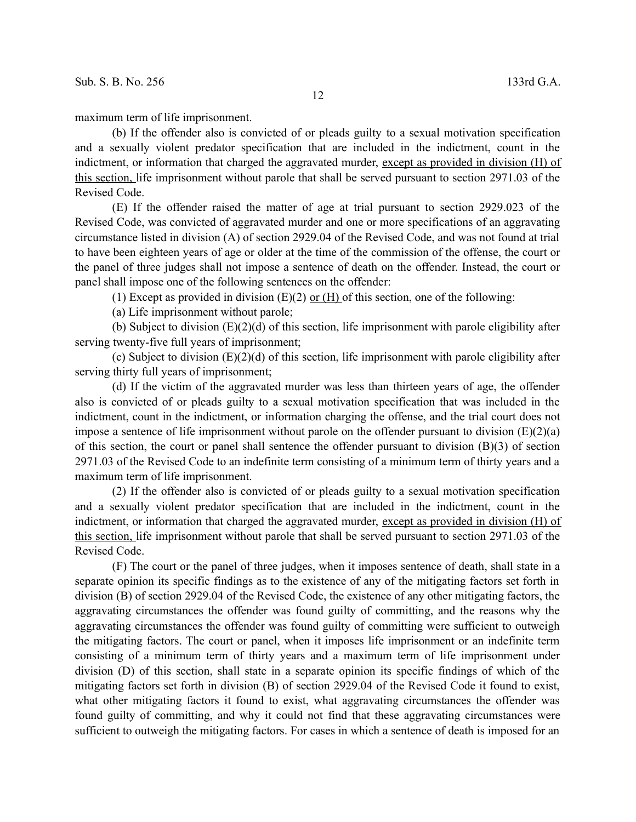maximum term of life imprisonment.

(b) If the offender also is convicted of or pleads guilty to a sexual motivation specification and a sexually violent predator specification that are included in the indictment, count in the indictment, or information that charged the aggravated murder, except as provided in division (H) of this section, life imprisonment without parole that shall be served pursuant to section 2971.03 of the Revised Code.

(E) If the offender raised the matter of age at trial pursuant to section 2929.023 of the Revised Code, was convicted of aggravated murder and one or more specifications of an aggravating circumstance listed in division (A) of section 2929.04 of the Revised Code, and was not found at trial to have been eighteen years of age or older at the time of the commission of the offense, the court or the panel of three judges shall not impose a sentence of death on the offender. Instead, the court or panel shall impose one of the following sentences on the offender:

(1) Except as provided in division  $(E)(2)$  or  $(H)$  of this section, one of the following:

(a) Life imprisonment without parole;

(b) Subject to division  $(E)(2)(d)$  of this section, life imprisonment with parole eligibility after serving twenty-five full years of imprisonment;

(c) Subject to division (E)(2)(d) of this section, life imprisonment with parole eligibility after serving thirty full years of imprisonment;

(d) If the victim of the aggravated murder was less than thirteen years of age, the offender also is convicted of or pleads guilty to a sexual motivation specification that was included in the indictment, count in the indictment, or information charging the offense, and the trial court does not impose a sentence of life imprisonment without parole on the offender pursuant to division  $(E)(2)(a)$ of this section, the court or panel shall sentence the offender pursuant to division (B)(3) of section 2971.03 of the Revised Code to an indefinite term consisting of a minimum term of thirty years and a maximum term of life imprisonment.

(2) If the offender also is convicted of or pleads guilty to a sexual motivation specification and a sexually violent predator specification that are included in the indictment, count in the indictment, or information that charged the aggravated murder, except as provided in division (H) of this section, life imprisonment without parole that shall be served pursuant to section 2971.03 of the Revised Code.

(F) The court or the panel of three judges, when it imposes sentence of death, shall state in a separate opinion its specific findings as to the existence of any of the mitigating factors set forth in division (B) of section 2929.04 of the Revised Code, the existence of any other mitigating factors, the aggravating circumstances the offender was found guilty of committing, and the reasons why the aggravating circumstances the offender was found guilty of committing were sufficient to outweigh the mitigating factors. The court or panel, when it imposes life imprisonment or an indefinite term consisting of a minimum term of thirty years and a maximum term of life imprisonment under division (D) of this section, shall state in a separate opinion its specific findings of which of the mitigating factors set forth in division (B) of section 2929.04 of the Revised Code it found to exist, what other mitigating factors it found to exist, what aggravating circumstances the offender was found guilty of committing, and why it could not find that these aggravating circumstances were sufficient to outweigh the mitigating factors. For cases in which a sentence of death is imposed for an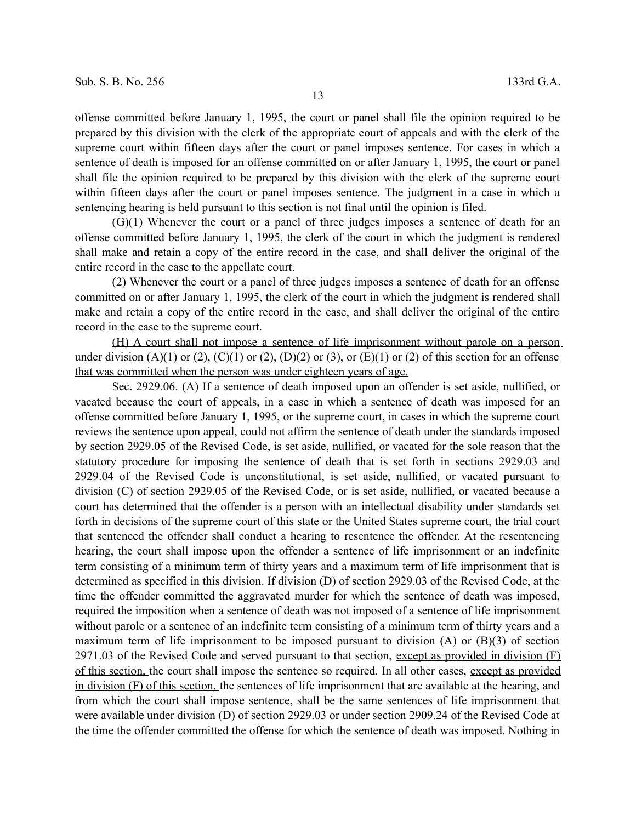offense committed before January 1, 1995, the court or panel shall file the opinion required to be prepared by this division with the clerk of the appropriate court of appeals and with the clerk of the supreme court within fifteen days after the court or panel imposes sentence. For cases in which a sentence of death is imposed for an offense committed on or after January 1, 1995, the court or panel shall file the opinion required to be prepared by this division with the clerk of the supreme court within fifteen days after the court or panel imposes sentence. The judgment in a case in which a sentencing hearing is held pursuant to this section is not final until the opinion is filed.

(G)(1) Whenever the court or a panel of three judges imposes a sentence of death for an offense committed before January 1, 1995, the clerk of the court in which the judgment is rendered shall make and retain a copy of the entire record in the case, and shall deliver the original of the entire record in the case to the appellate court.

(2) Whenever the court or a panel of three judges imposes a sentence of death for an offense committed on or after January 1, 1995, the clerk of the court in which the judgment is rendered shall make and retain a copy of the entire record in the case, and shall deliver the original of the entire record in the case to the supreme court.

(H) A court shall not impose a sentence of life imprisonment without parole on a person under division (A)(1) or (2), (C)(1) or (2), (D)(2) or (3), or (E)(1) or (2) of this section for an offense that was committed when the person was under eighteen years of age.

Sec. 2929.06. (A) If a sentence of death imposed upon an offender is set aside, nullified, or vacated because the court of appeals, in a case in which a sentence of death was imposed for an offense committed before January 1, 1995, or the supreme court, in cases in which the supreme court reviews the sentence upon appeal, could not affirm the sentence of death under the standards imposed by section 2929.05 of the Revised Code, is set aside, nullified, or vacated for the sole reason that the statutory procedure for imposing the sentence of death that is set forth in sections 2929.03 and 2929.04 of the Revised Code is unconstitutional, is set aside, nullified, or vacated pursuant to division (C) of section 2929.05 of the Revised Code, or is set aside, nullified, or vacated because a court has determined that the offender is a person with an intellectual disability under standards set forth in decisions of the supreme court of this state or the United States supreme court, the trial court that sentenced the offender shall conduct a hearing to resentence the offender. At the resentencing hearing, the court shall impose upon the offender a sentence of life imprisonment or an indefinite term consisting of a minimum term of thirty years and a maximum term of life imprisonment that is determined as specified in this division. If division (D) of section 2929.03 of the Revised Code, at the time the offender committed the aggravated murder for which the sentence of death was imposed, required the imposition when a sentence of death was not imposed of a sentence of life imprisonment without parole or a sentence of an indefinite term consisting of a minimum term of thirty years and a maximum term of life imprisonment to be imposed pursuant to division (A) or (B)(3) of section  $2971.03$  of the Revised Code and served pursuant to that section, except as provided in division  $(F)$ of this section, the court shall impose the sentence so required. In all other cases, except as provided in division (F) of this section, the sentences of life imprisonment that are available at the hearing, and from which the court shall impose sentence, shall be the same sentences of life imprisonment that were available under division (D) of section 2929.03 or under section 2909.24 of the Revised Code at the time the offender committed the offense for which the sentence of death was imposed. Nothing in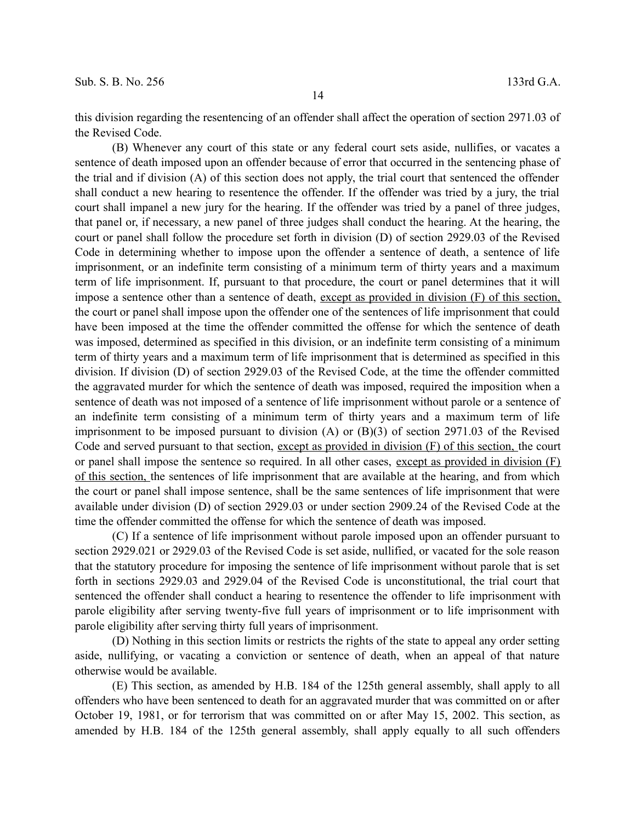this division regarding the resentencing of an offender shall affect the operation of section 2971.03 of the Revised Code.

(B) Whenever any court of this state or any federal court sets aside, nullifies, or vacates a sentence of death imposed upon an offender because of error that occurred in the sentencing phase of the trial and if division (A) of this section does not apply, the trial court that sentenced the offender shall conduct a new hearing to resentence the offender. If the offender was tried by a jury, the trial court shall impanel a new jury for the hearing. If the offender was tried by a panel of three judges, that panel or, if necessary, a new panel of three judges shall conduct the hearing. At the hearing, the court or panel shall follow the procedure set forth in division (D) of section 2929.03 of the Revised Code in determining whether to impose upon the offender a sentence of death, a sentence of life imprisonment, or an indefinite term consisting of a minimum term of thirty years and a maximum term of life imprisonment. If, pursuant to that procedure, the court or panel determines that it will impose a sentence other than a sentence of death, except as provided in division (F) of this section, the court or panel shall impose upon the offender one of the sentences of life imprisonment that could have been imposed at the time the offender committed the offense for which the sentence of death was imposed, determined as specified in this division, or an indefinite term consisting of a minimum term of thirty years and a maximum term of life imprisonment that is determined as specified in this division. If division (D) of section 2929.03 of the Revised Code, at the time the offender committed the aggravated murder for which the sentence of death was imposed, required the imposition when a sentence of death was not imposed of a sentence of life imprisonment without parole or a sentence of an indefinite term consisting of a minimum term of thirty years and a maximum term of life imprisonment to be imposed pursuant to division (A) or (B)(3) of section 2971.03 of the Revised Code and served pursuant to that section, except as provided in division (F) of this section, the court or panel shall impose the sentence so required. In all other cases, except as provided in division (F) of this section, the sentences of life imprisonment that are available at the hearing, and from which the court or panel shall impose sentence, shall be the same sentences of life imprisonment that were available under division (D) of section 2929.03 or under section 2909.24 of the Revised Code at the time the offender committed the offense for which the sentence of death was imposed.

(C) If a sentence of life imprisonment without parole imposed upon an offender pursuant to section 2929.021 or 2929.03 of the Revised Code is set aside, nullified, or vacated for the sole reason that the statutory procedure for imposing the sentence of life imprisonment without parole that is set forth in sections 2929.03 and 2929.04 of the Revised Code is unconstitutional, the trial court that sentenced the offender shall conduct a hearing to resentence the offender to life imprisonment with parole eligibility after serving twenty-five full years of imprisonment or to life imprisonment with parole eligibility after serving thirty full years of imprisonment.

(D) Nothing in this section limits or restricts the rights of the state to appeal any order setting aside, nullifying, or vacating a conviction or sentence of death, when an appeal of that nature otherwise would be available.

(E) This section, as amended by H.B. 184 of the 125th general assembly, shall apply to all offenders who have been sentenced to death for an aggravated murder that was committed on or after October 19, 1981, or for terrorism that was committed on or after May 15, 2002. This section, as amended by H.B. 184 of the 125th general assembly, shall apply equally to all such offenders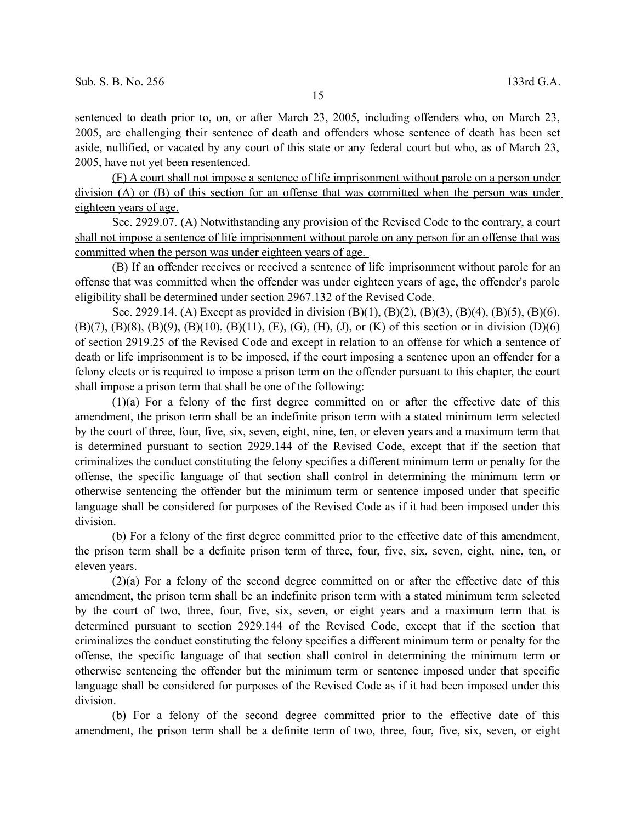sentenced to death prior to, on, or after March 23, 2005, including offenders who, on March 23, 2005, are challenging their sentence of death and offenders whose sentence of death has been set aside, nullified, or vacated by any court of this state or any federal court but who, as of March 23, 2005, have not yet been resentenced.

(F) A court shall not impose a sentence of life imprisonment without parole on a person under division (A) or (B) of this section for an offense that was committed when the person was under eighteen years of age.

Sec. 2929.07. (A) Notwithstanding any provision of the Revised Code to the contrary, a court shall not impose a sentence of life imprisonment without parole on any person for an offense that was committed when the person was under eighteen years of age.

 (B) If an offender receives or received a sentence of life imprisonment without parole for an offense that was committed when the offender was under eighteen years of age, the offender's parole eligibility shall be determined under section 2967.132 of the Revised Code.

Sec. 2929.14. (A) Except as provided in division (B)(1), (B)(2), (B)(3), (B)(4), (B)(5), (B)(6), (B)(7), (B)(8), (B)(9), (B)(10), (B)(11), (E), (G), (H), (J), or (K) of this section or in division (D)(6) of section 2919.25 of the Revised Code and except in relation to an offense for which a sentence of death or life imprisonment is to be imposed, if the court imposing a sentence upon an offender for a felony elects or is required to impose a prison term on the offender pursuant to this chapter, the court shall impose a prison term that shall be one of the following:

(1)(a) For a felony of the first degree committed on or after the effective date of this amendment, the prison term shall be an indefinite prison term with a stated minimum term selected by the court of three, four, five, six, seven, eight, nine, ten, or eleven years and a maximum term that is determined pursuant to section 2929.144 of the Revised Code, except that if the section that criminalizes the conduct constituting the felony specifies a different minimum term or penalty for the offense, the specific language of that section shall control in determining the minimum term or otherwise sentencing the offender but the minimum term or sentence imposed under that specific language shall be considered for purposes of the Revised Code as if it had been imposed under this division.

(b) For a felony of the first degree committed prior to the effective date of this amendment, the prison term shall be a definite prison term of three, four, five, six, seven, eight, nine, ten, or eleven years.

(2)(a) For a felony of the second degree committed on or after the effective date of this amendment, the prison term shall be an indefinite prison term with a stated minimum term selected by the court of two, three, four, five, six, seven, or eight years and a maximum term that is determined pursuant to section 2929.144 of the Revised Code, except that if the section that criminalizes the conduct constituting the felony specifies a different minimum term or penalty for the offense, the specific language of that section shall control in determining the minimum term or otherwise sentencing the offender but the minimum term or sentence imposed under that specific language shall be considered for purposes of the Revised Code as if it had been imposed under this division.

(b) For a felony of the second degree committed prior to the effective date of this amendment, the prison term shall be a definite term of two, three, four, five, six, seven, or eight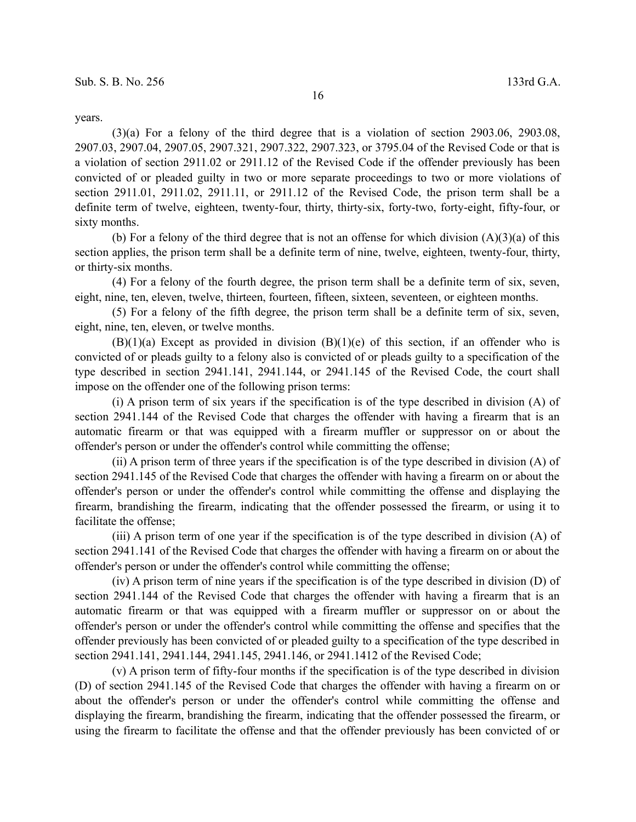years.

(3)(a) For a felony of the third degree that is a violation of section 2903.06, 2903.08, 2907.03, 2907.04, 2907.05, 2907.321, 2907.322, 2907.323, or 3795.04 of the Revised Code or that is a violation of section 2911.02 or 2911.12 of the Revised Code if the offender previously has been convicted of or pleaded guilty in two or more separate proceedings to two or more violations of section 2911.01, 2911.02, 2911.11, or 2911.12 of the Revised Code, the prison term shall be a definite term of twelve, eighteen, twenty-four, thirty, thirty-six, forty-two, forty-eight, fifty-four, or sixty months.

(b) For a felony of the third degree that is not an offense for which division  $(A)(3)(a)$  of this section applies, the prison term shall be a definite term of nine, twelve, eighteen, twenty-four, thirty, or thirty-six months.

(4) For a felony of the fourth degree, the prison term shall be a definite term of six, seven, eight, nine, ten, eleven, twelve, thirteen, fourteen, fifteen, sixteen, seventeen, or eighteen months.

(5) For a felony of the fifth degree, the prison term shall be a definite term of six, seven, eight, nine, ten, eleven, or twelve months.

 $(B)(1)(a)$  Except as provided in division  $(B)(1)(e)$  of this section, if an offender who is convicted of or pleads guilty to a felony also is convicted of or pleads guilty to a specification of the type described in section 2941.141, 2941.144, or 2941.145 of the Revised Code, the court shall impose on the offender one of the following prison terms:

(i) A prison term of six years if the specification is of the type described in division (A) of section 2941.144 of the Revised Code that charges the offender with having a firearm that is an automatic firearm or that was equipped with a firearm muffler or suppressor on or about the offender's person or under the offender's control while committing the offense;

(ii) A prison term of three years if the specification is of the type described in division (A) of section 2941.145 of the Revised Code that charges the offender with having a firearm on or about the offender's person or under the offender's control while committing the offense and displaying the firearm, brandishing the firearm, indicating that the offender possessed the firearm, or using it to facilitate the offense;

(iii) A prison term of one year if the specification is of the type described in division (A) of section 2941.141 of the Revised Code that charges the offender with having a firearm on or about the offender's person or under the offender's control while committing the offense;

(iv) A prison term of nine years if the specification is of the type described in division (D) of section 2941.144 of the Revised Code that charges the offender with having a firearm that is an automatic firearm or that was equipped with a firearm muffler or suppressor on or about the offender's person or under the offender's control while committing the offense and specifies that the offender previously has been convicted of or pleaded guilty to a specification of the type described in section 2941.141, 2941.144, 2941.145, 2941.146, or 2941.1412 of the Revised Code;

(v) A prison term of fifty-four months if the specification is of the type described in division (D) of section 2941.145 of the Revised Code that charges the offender with having a firearm on or about the offender's person or under the offender's control while committing the offense and displaying the firearm, brandishing the firearm, indicating that the offender possessed the firearm, or using the firearm to facilitate the offense and that the offender previously has been convicted of or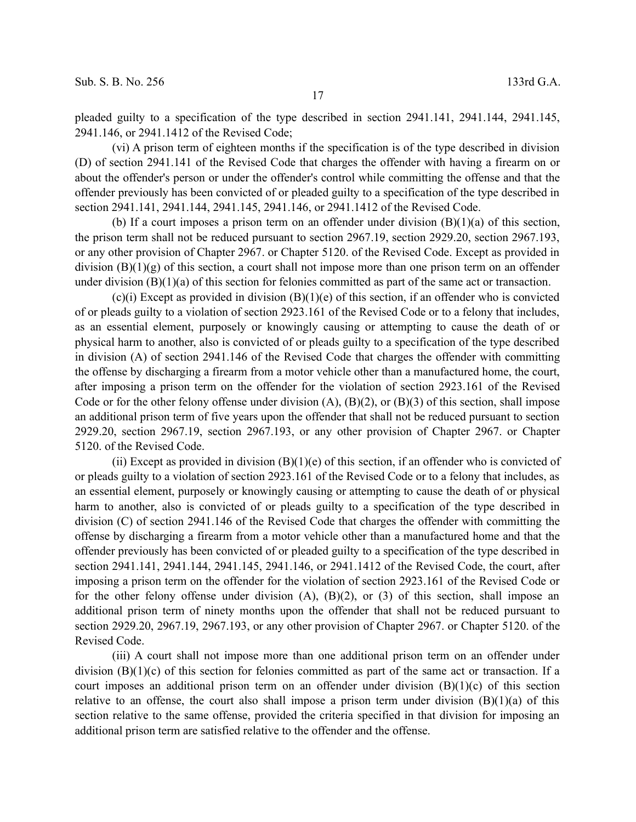pleaded guilty to a specification of the type described in section 2941.141, 2941.144, 2941.145, 2941.146, or 2941.1412 of the Revised Code;

(vi) A prison term of eighteen months if the specification is of the type described in division (D) of section 2941.141 of the Revised Code that charges the offender with having a firearm on or about the offender's person or under the offender's control while committing the offense and that the offender previously has been convicted of or pleaded guilty to a specification of the type described in section 2941.141, 2941.144, 2941.145, 2941.146, or 2941.1412 of the Revised Code.

(b) If a court imposes a prison term on an offender under division  $(B)(1)(a)$  of this section, the prison term shall not be reduced pursuant to section 2967.19, section 2929.20, section 2967.193, or any other provision of Chapter 2967. or Chapter 5120. of the Revised Code. Except as provided in division  $(B)(1)(g)$  of this section, a court shall not impose more than one prison term on an offender under division (B)(1)(a) of this section for felonies committed as part of the same act or transaction.

 $(c)(i)$  Except as provided in division  $(B)(1)(e)$  of this section, if an offender who is convicted of or pleads guilty to a violation of section 2923.161 of the Revised Code or to a felony that includes, as an essential element, purposely or knowingly causing or attempting to cause the death of or physical harm to another, also is convicted of or pleads guilty to a specification of the type described in division (A) of section 2941.146 of the Revised Code that charges the offender with committing the offense by discharging a firearm from a motor vehicle other than a manufactured home, the court, after imposing a prison term on the offender for the violation of section 2923.161 of the Revised Code or for the other felony offense under division  $(A)$ ,  $(B)(2)$ , or  $(B)(3)$  of this section, shall impose an additional prison term of five years upon the offender that shall not be reduced pursuant to section 2929.20, section 2967.19, section 2967.193, or any other provision of Chapter 2967. or Chapter 5120. of the Revised Code.

(ii) Except as provided in division  $(B)(1)(e)$  of this section, if an offender who is convicted of or pleads guilty to a violation of section 2923.161 of the Revised Code or to a felony that includes, as an essential element, purposely or knowingly causing or attempting to cause the death of or physical harm to another, also is convicted of or pleads guilty to a specification of the type described in division (C) of section 2941.146 of the Revised Code that charges the offender with committing the offense by discharging a firearm from a motor vehicle other than a manufactured home and that the offender previously has been convicted of or pleaded guilty to a specification of the type described in section 2941.141, 2941.144, 2941.145, 2941.146, or 2941.1412 of the Revised Code, the court, after imposing a prison term on the offender for the violation of section 2923.161 of the Revised Code or for the other felony offense under division  $(A)$ ,  $(B)(2)$ , or  $(B)$  of this section, shall impose an additional prison term of ninety months upon the offender that shall not be reduced pursuant to section 2929.20, 2967.19, 2967.193, or any other provision of Chapter 2967. or Chapter 5120. of the Revised Code.

(iii) A court shall not impose more than one additional prison term on an offender under division (B)(1)(c) of this section for felonies committed as part of the same act or transaction. If a court imposes an additional prison term on an offender under division  $(B)(1)(c)$  of this section relative to an offense, the court also shall impose a prison term under division  $(B)(1)(a)$  of this section relative to the same offense, provided the criteria specified in that division for imposing an additional prison term are satisfied relative to the offender and the offense.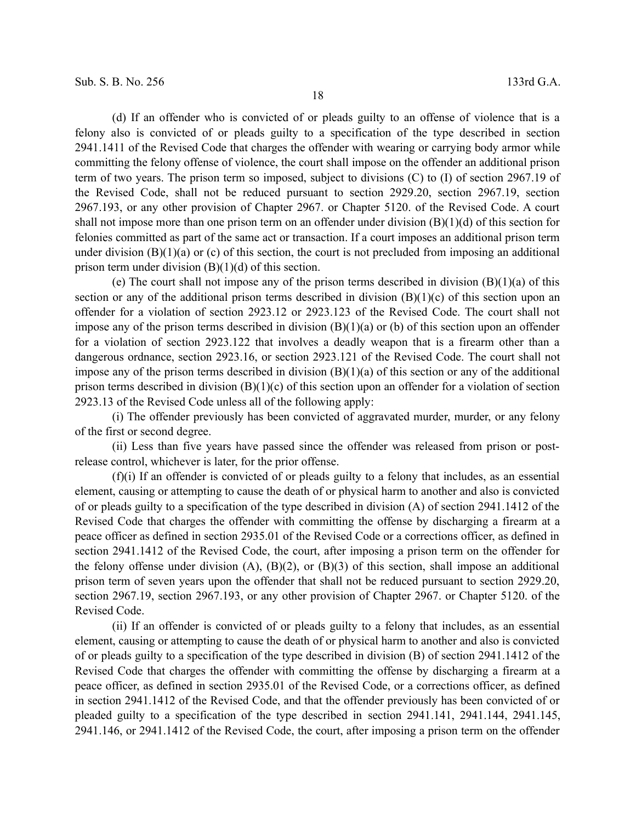(d) If an offender who is convicted of or pleads guilty to an offense of violence that is a felony also is convicted of or pleads guilty to a specification of the type described in section 2941.1411 of the Revised Code that charges the offender with wearing or carrying body armor while committing the felony offense of violence, the court shall impose on the offender an additional prison term of two years. The prison term so imposed, subject to divisions (C) to (I) of section 2967.19 of the Revised Code, shall not be reduced pursuant to section 2929.20, section 2967.19, section 2967.193, or any other provision of Chapter 2967. or Chapter 5120. of the Revised Code. A court shall not impose more than one prison term on an offender under division (B)(1)(d) of this section for felonies committed as part of the same act or transaction. If a court imposes an additional prison term under division  $(B)(1)(a)$  or (c) of this section, the court is not precluded from imposing an additional prison term under division  $(B)(1)(d)$  of this section.

(e) The court shall not impose any of the prison terms described in division  $(B)(1)(a)$  of this section or any of the additional prison terms described in division  $(B)(1)(c)$  of this section upon an offender for a violation of section 2923.12 or 2923.123 of the Revised Code. The court shall not impose any of the prison terms described in division  $(B)(1)(a)$  or (b) of this section upon an offender for a violation of section 2923.122 that involves a deadly weapon that is a firearm other than a dangerous ordnance, section 2923.16, or section 2923.121 of the Revised Code. The court shall not impose any of the prison terms described in division (B)(1)(a) of this section or any of the additional prison terms described in division  $(B)(1)(c)$  of this section upon an offender for a violation of section 2923.13 of the Revised Code unless all of the following apply:

(i) The offender previously has been convicted of aggravated murder, murder, or any felony of the first or second degree.

(ii) Less than five years have passed since the offender was released from prison or postrelease control, whichever is later, for the prior offense.

 $(f)(i)$  If an offender is convicted of or pleads guilty to a felony that includes, as an essential element, causing or attempting to cause the death of or physical harm to another and also is convicted of or pleads guilty to a specification of the type described in division (A) of section 2941.1412 of the Revised Code that charges the offender with committing the offense by discharging a firearm at a peace officer as defined in section 2935.01 of the Revised Code or a corrections officer, as defined in section 2941.1412 of the Revised Code, the court, after imposing a prison term on the offender for the felony offense under division  $(A)$ ,  $(B)(2)$ , or  $(B)(3)$  of this section, shall impose an additional prison term of seven years upon the offender that shall not be reduced pursuant to section 2929.20, section 2967.19, section 2967.193, or any other provision of Chapter 2967. or Chapter 5120. of the Revised Code.

(ii) If an offender is convicted of or pleads guilty to a felony that includes, as an essential element, causing or attempting to cause the death of or physical harm to another and also is convicted of or pleads guilty to a specification of the type described in division (B) of section 2941.1412 of the Revised Code that charges the offender with committing the offense by discharging a firearm at a peace officer, as defined in section 2935.01 of the Revised Code, or a corrections officer, as defined in section 2941.1412 of the Revised Code, and that the offender previously has been convicted of or pleaded guilty to a specification of the type described in section 2941.141, 2941.144, 2941.145, 2941.146, or 2941.1412 of the Revised Code, the court, after imposing a prison term on the offender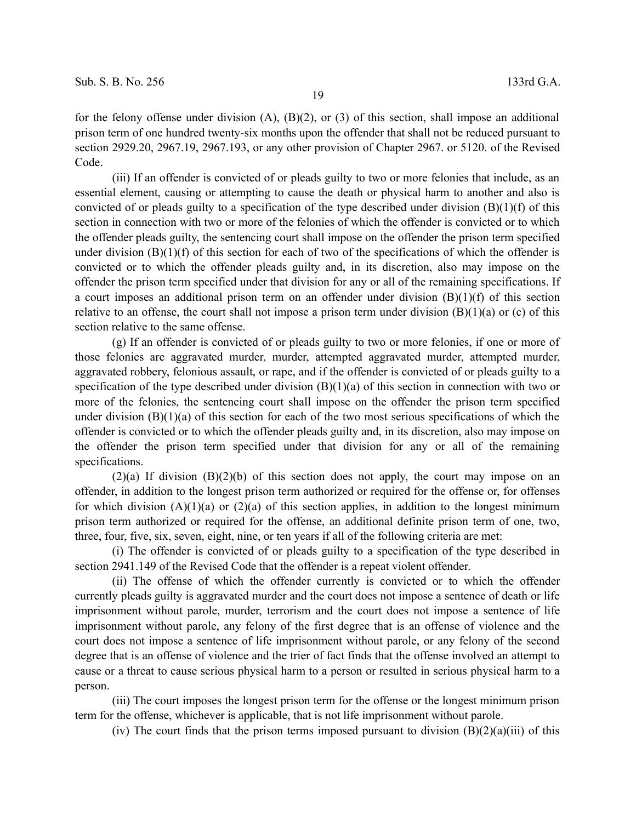for the felony offense under division  $(A)$ ,  $(B)(2)$ , or  $(B)$  of this section, shall impose an additional prison term of one hundred twenty-six months upon the offender that shall not be reduced pursuant to section 2929.20, 2967.19, 2967.193, or any other provision of Chapter 2967. or 5120. of the Revised Code.

(iii) If an offender is convicted of or pleads guilty to two or more felonies that include, as an essential element, causing or attempting to cause the death or physical harm to another and also is convicted of or pleads guilty to a specification of the type described under division  $(B)(1)(f)$  of this section in connection with two or more of the felonies of which the offender is convicted or to which the offender pleads guilty, the sentencing court shall impose on the offender the prison term specified under division  $(B)(1)(f)$  of this section for each of two of the specifications of which the offender is convicted or to which the offender pleads guilty and, in its discretion, also may impose on the offender the prison term specified under that division for any or all of the remaining specifications. If a court imposes an additional prison term on an offender under division (B)(1)(f) of this section relative to an offense, the court shall not impose a prison term under division  $(B)(1)(a)$  or (c) of this section relative to the same offense.

(g) If an offender is convicted of or pleads guilty to two or more felonies, if one or more of those felonies are aggravated murder, murder, attempted aggravated murder, attempted murder, aggravated robbery, felonious assault, or rape, and if the offender is convicted of or pleads guilty to a specification of the type described under division  $(B)(1)(a)$  of this section in connection with two or more of the felonies, the sentencing court shall impose on the offender the prison term specified under division  $(B)(1)(a)$  of this section for each of the two most serious specifications of which the offender is convicted or to which the offender pleads guilty and, in its discretion, also may impose on the offender the prison term specified under that division for any or all of the remaining specifications.

 $(2)(a)$  If division  $(B)(2)(b)$  of this section does not apply, the court may impose on an offender, in addition to the longest prison term authorized or required for the offense or, for offenses for which division  $(A)(1)(a)$  or  $(2)(a)$  of this section applies, in addition to the longest minimum prison term authorized or required for the offense, an additional definite prison term of one, two, three, four, five, six, seven, eight, nine, or ten years if all of the following criteria are met:

(i) The offender is convicted of or pleads guilty to a specification of the type described in section 2941.149 of the Revised Code that the offender is a repeat violent offender.

(ii) The offense of which the offender currently is convicted or to which the offender currently pleads guilty is aggravated murder and the court does not impose a sentence of death or life imprisonment without parole, murder, terrorism and the court does not impose a sentence of life imprisonment without parole, any felony of the first degree that is an offense of violence and the court does not impose a sentence of life imprisonment without parole, or any felony of the second degree that is an offense of violence and the trier of fact finds that the offense involved an attempt to cause or a threat to cause serious physical harm to a person or resulted in serious physical harm to a person.

(iii) The court imposes the longest prison term for the offense or the longest minimum prison term for the offense, whichever is applicable, that is not life imprisonment without parole.

(iv) The court finds that the prison terms imposed pursuant to division  $(B)(2)(a)(iii)$  of this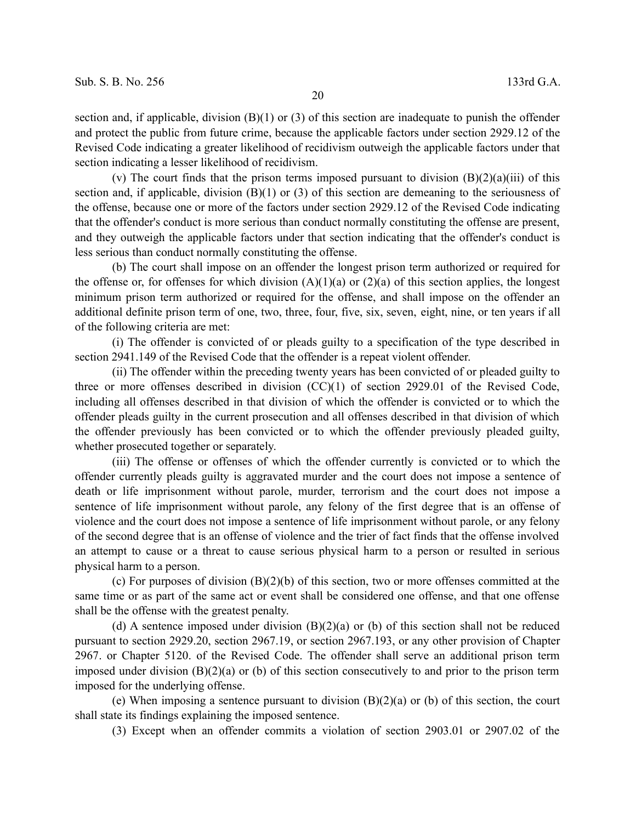section and, if applicable, division  $(B)(1)$  or  $(3)$  of this section are inadequate to punish the offender and protect the public from future crime, because the applicable factors under section 2929.12 of the Revised Code indicating a greater likelihood of recidivism outweigh the applicable factors under that section indicating a lesser likelihood of recidivism.

(v) The court finds that the prison terms imposed pursuant to division  $(B)(2)(a)(iii)$  of this section and, if applicable, division (B)(1) or (3) of this section are demeaning to the seriousness of the offense, because one or more of the factors under section 2929.12 of the Revised Code indicating that the offender's conduct is more serious than conduct normally constituting the offense are present, and they outweigh the applicable factors under that section indicating that the offender's conduct is less serious than conduct normally constituting the offense.

(b) The court shall impose on an offender the longest prison term authorized or required for the offense or, for offenses for which division  $(A)(1)(a)$  or  $(2)(a)$  of this section applies, the longest minimum prison term authorized or required for the offense, and shall impose on the offender an additional definite prison term of one, two, three, four, five, six, seven, eight, nine, or ten years if all of the following criteria are met:

(i) The offender is convicted of or pleads guilty to a specification of the type described in section 2941.149 of the Revised Code that the offender is a repeat violent offender.

(ii) The offender within the preceding twenty years has been convicted of or pleaded guilty to three or more offenses described in division (CC)(1) of section 2929.01 of the Revised Code, including all offenses described in that division of which the offender is convicted or to which the offender pleads guilty in the current prosecution and all offenses described in that division of which the offender previously has been convicted or to which the offender previously pleaded guilty, whether prosecuted together or separately.

(iii) The offense or offenses of which the offender currently is convicted or to which the offender currently pleads guilty is aggravated murder and the court does not impose a sentence of death or life imprisonment without parole, murder, terrorism and the court does not impose a sentence of life imprisonment without parole, any felony of the first degree that is an offense of violence and the court does not impose a sentence of life imprisonment without parole, or any felony of the second degree that is an offense of violence and the trier of fact finds that the offense involved an attempt to cause or a threat to cause serious physical harm to a person or resulted in serious physical harm to a person.

(c) For purposes of division (B)(2)(b) of this section, two or more offenses committed at the same time or as part of the same act or event shall be considered one offense, and that one offense shall be the offense with the greatest penalty.

(d) A sentence imposed under division  $(B)(2)(a)$  or (b) of this section shall not be reduced pursuant to section 2929.20, section 2967.19, or section 2967.193, or any other provision of Chapter 2967. or Chapter 5120. of the Revised Code. The offender shall serve an additional prison term imposed under division  $(B)(2)(a)$  or (b) of this section consecutively to and prior to the prison term imposed for the underlying offense.

(e) When imposing a sentence pursuant to division (B)(2)(a) or (b) of this section, the court shall state its findings explaining the imposed sentence.

(3) Except when an offender commits a violation of section 2903.01 or 2907.02 of the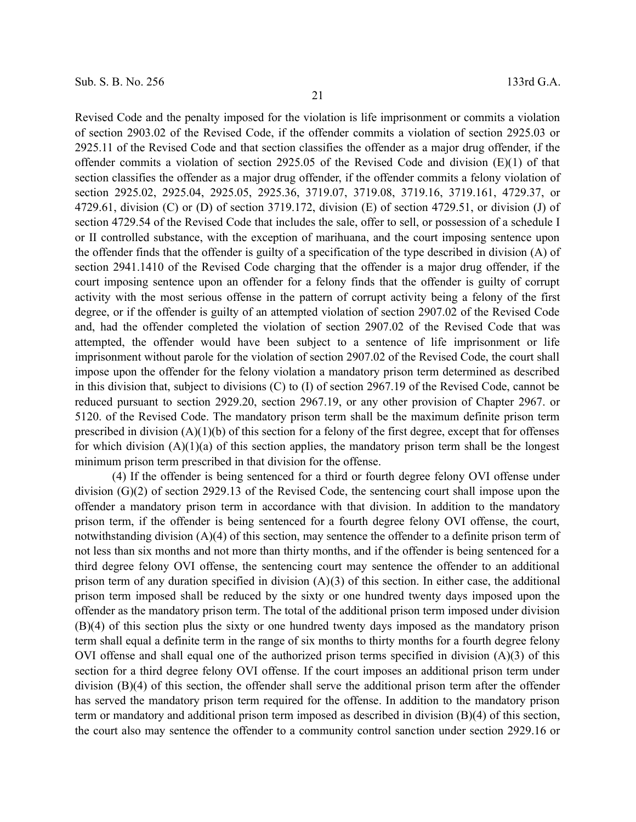Revised Code and the penalty imposed for the violation is life imprisonment or commits a violation of section 2903.02 of the Revised Code, if the offender commits a violation of section 2925.03 or 2925.11 of the Revised Code and that section classifies the offender as a major drug offender, if the offender commits a violation of section 2925.05 of the Revised Code and division  $(E)(1)$  of that section classifies the offender as a major drug offender, if the offender commits a felony violation of section 2925.02, 2925.04, 2925.05, 2925.36, 3719.07, 3719.08, 3719.16, 3719.161, 4729.37, or 4729.61, division (C) or (D) of section 3719.172, division (E) of section 4729.51, or division (J) of section 4729.54 of the Revised Code that includes the sale, offer to sell, or possession of a schedule I or II controlled substance, with the exception of marihuana, and the court imposing sentence upon the offender finds that the offender is guilty of a specification of the type described in division (A) of section 2941.1410 of the Revised Code charging that the offender is a major drug offender, if the court imposing sentence upon an offender for a felony finds that the offender is guilty of corrupt activity with the most serious offense in the pattern of corrupt activity being a felony of the first degree, or if the offender is guilty of an attempted violation of section 2907.02 of the Revised Code and, had the offender completed the violation of section 2907.02 of the Revised Code that was attempted, the offender would have been subject to a sentence of life imprisonment or life imprisonment without parole for the violation of section 2907.02 of the Revised Code, the court shall impose upon the offender for the felony violation a mandatory prison term determined as described in this division that, subject to divisions (C) to (I) of section 2967.19 of the Revised Code, cannot be reduced pursuant to section 2929.20, section 2967.19, or any other provision of Chapter 2967. or 5120. of the Revised Code. The mandatory prison term shall be the maximum definite prison term prescribed in division (A)(1)(b) of this section for a felony of the first degree, except that for offenses for which division  $(A)(1)(a)$  of this section applies, the mandatory prison term shall be the longest minimum prison term prescribed in that division for the offense.

(4) If the offender is being sentenced for a third or fourth degree felony OVI offense under division (G)(2) of section 2929.13 of the Revised Code, the sentencing court shall impose upon the offender a mandatory prison term in accordance with that division. In addition to the mandatory prison term, if the offender is being sentenced for a fourth degree felony OVI offense, the court, notwithstanding division (A)(4) of this section, may sentence the offender to a definite prison term of not less than six months and not more than thirty months, and if the offender is being sentenced for a third degree felony OVI offense, the sentencing court may sentence the offender to an additional prison term of any duration specified in division  $(A)(3)$  of this section. In either case, the additional prison term imposed shall be reduced by the sixty or one hundred twenty days imposed upon the offender as the mandatory prison term. The total of the additional prison term imposed under division (B)(4) of this section plus the sixty or one hundred twenty days imposed as the mandatory prison term shall equal a definite term in the range of six months to thirty months for a fourth degree felony OVI offense and shall equal one of the authorized prison terms specified in division  $(A)(3)$  of this section for a third degree felony OVI offense. If the court imposes an additional prison term under division (B)(4) of this section, the offender shall serve the additional prison term after the offender has served the mandatory prison term required for the offense. In addition to the mandatory prison term or mandatory and additional prison term imposed as described in division (B)(4) of this section, the court also may sentence the offender to a community control sanction under section 2929.16 or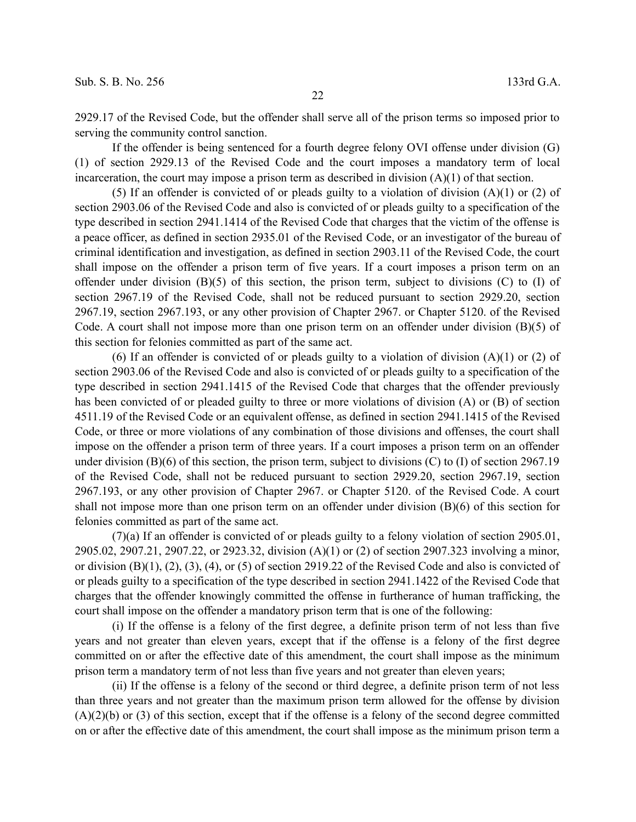2929.17 of the Revised Code, but the offender shall serve all of the prison terms so imposed prior to serving the community control sanction.

If the offender is being sentenced for a fourth degree felony OVI offense under division (G) (1) of section 2929.13 of the Revised Code and the court imposes a mandatory term of local incarceration, the court may impose a prison term as described in division  $(A)(1)$  of that section.

(5) If an offender is convicted of or pleads guilty to a violation of division  $(A)(1)$  or  $(2)$  of section 2903.06 of the Revised Code and also is convicted of or pleads guilty to a specification of the type described in section 2941.1414 of the Revised Code that charges that the victim of the offense is a peace officer, as defined in section 2935.01 of the Revised Code, or an investigator of the bureau of criminal identification and investigation, as defined in section 2903.11 of the Revised Code, the court shall impose on the offender a prison term of five years. If a court imposes a prison term on an offender under division (B)(5) of this section, the prison term, subject to divisions (C) to (I) of section 2967.19 of the Revised Code, shall not be reduced pursuant to section 2929.20, section 2967.19, section 2967.193, or any other provision of Chapter 2967. or Chapter 5120. of the Revised Code. A court shall not impose more than one prison term on an offender under division (B)(5) of this section for felonies committed as part of the same act.

(6) If an offender is convicted of or pleads guilty to a violation of division  $(A)(1)$  or  $(2)$  of section 2903.06 of the Revised Code and also is convicted of or pleads guilty to a specification of the type described in section 2941.1415 of the Revised Code that charges that the offender previously has been convicted of or pleaded guilty to three or more violations of division (A) or (B) of section 4511.19 of the Revised Code or an equivalent offense, as defined in section 2941.1415 of the Revised Code, or three or more violations of any combination of those divisions and offenses, the court shall impose on the offender a prison term of three years. If a court imposes a prison term on an offender under division (B)(6) of this section, the prison term, subject to divisions (C) to (I) of section 2967.19 of the Revised Code, shall not be reduced pursuant to section 2929.20, section 2967.19, section 2967.193, or any other provision of Chapter 2967. or Chapter 5120. of the Revised Code. A court shall not impose more than one prison term on an offender under division (B)(6) of this section for felonies committed as part of the same act.

(7)(a) If an offender is convicted of or pleads guilty to a felony violation of section 2905.01, 2905.02, 2907.21, 2907.22, or 2923.32, division (A)(1) or (2) of section 2907.323 involving a minor, or division  $(B)(1)$ ,  $(2)$ ,  $(3)$ ,  $(4)$ , or  $(5)$  of section 2919.22 of the Revised Code and also is convicted of or pleads guilty to a specification of the type described in section 2941.1422 of the Revised Code that charges that the offender knowingly committed the offense in furtherance of human trafficking, the court shall impose on the offender a mandatory prison term that is one of the following:

(i) If the offense is a felony of the first degree, a definite prison term of not less than five years and not greater than eleven years, except that if the offense is a felony of the first degree committed on or after the effective date of this amendment, the court shall impose as the minimum prison term a mandatory term of not less than five years and not greater than eleven years;

(ii) If the offense is a felony of the second or third degree, a definite prison term of not less than three years and not greater than the maximum prison term allowed for the offense by division  $(A)(2)(b)$  or (3) of this section, except that if the offense is a felony of the second degree committed on or after the effective date of this amendment, the court shall impose as the minimum prison term a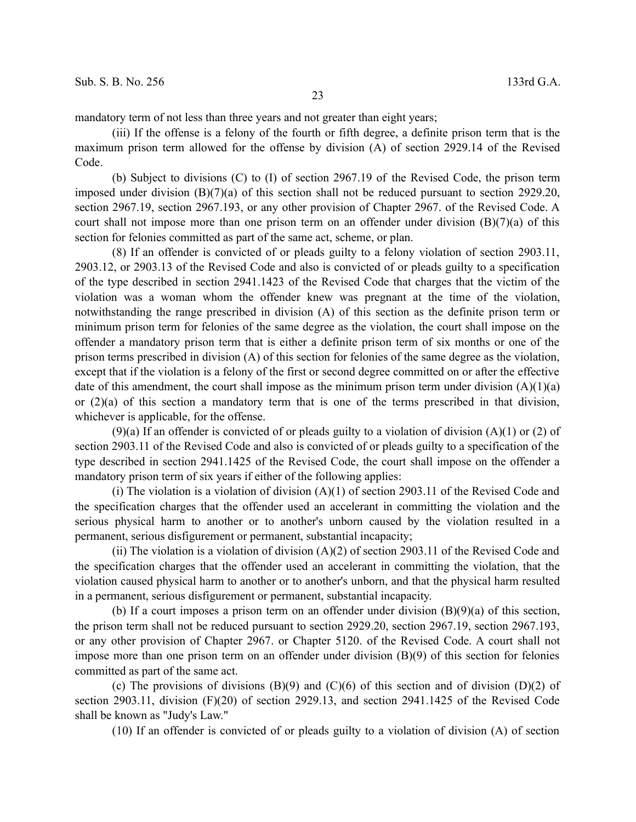mandatory term of not less than three years and not greater than eight years;

(iii) If the offense is a felony of the fourth or fifth degree, a definite prison term that is the maximum prison term allowed for the offense by division (A) of section 2929.14 of the Revised Code.

(b) Subject to divisions (C) to (I) of section 2967.19 of the Revised Code, the prison term imposed under division (B)(7)(a) of this section shall not be reduced pursuant to section 2929.20, section 2967.19, section 2967.193, or any other provision of Chapter 2967. of the Revised Code. A court shall not impose more than one prison term on an offender under division  $(B)(7)(a)$  of this section for felonies committed as part of the same act, scheme, or plan.

(8) If an offender is convicted of or pleads guilty to a felony violation of section 2903.11, 2903.12, or 2903.13 of the Revised Code and also is convicted of or pleads guilty to a specification of the type described in section 2941.1423 of the Revised Code that charges that the victim of the violation was a woman whom the offender knew was pregnant at the time of the violation, notwithstanding the range prescribed in division (A) of this section as the definite prison term or minimum prison term for felonies of the same degree as the violation, the court shall impose on the offender a mandatory prison term that is either a definite prison term of six months or one of the prison terms prescribed in division (A) of this section for felonies of the same degree as the violation, except that if the violation is a felony of the first or second degree committed on or after the effective date of this amendment, the court shall impose as the minimum prison term under division  $(A)(1)(a)$ or (2)(a) of this section a mandatory term that is one of the terms prescribed in that division, whichever is applicable, for the offense.

 $(9)(a)$  If an offender is convicted of or pleads guilty to a violation of division  $(A)(1)$  or  $(2)$  of section 2903.11 of the Revised Code and also is convicted of or pleads guilty to a specification of the type described in section 2941.1425 of the Revised Code, the court shall impose on the offender a mandatory prison term of six years if either of the following applies:

(i) The violation is a violation of division  $(A)(1)$  of section 2903.11 of the Revised Code and the specification charges that the offender used an accelerant in committing the violation and the serious physical harm to another or to another's unborn caused by the violation resulted in a permanent, serious disfigurement or permanent, substantial incapacity;

(ii) The violation is a violation of division  $(A)(2)$  of section 2903.11 of the Revised Code and the specification charges that the offender used an accelerant in committing the violation, that the violation caused physical harm to another or to another's unborn, and that the physical harm resulted in a permanent, serious disfigurement or permanent, substantial incapacity.

(b) If a court imposes a prison term on an offender under division (B)(9)(a) of this section, the prison term shall not be reduced pursuant to section 2929.20, section 2967.19, section 2967.193, or any other provision of Chapter 2967. or Chapter 5120. of the Revised Code. A court shall not impose more than one prison term on an offender under division (B)(9) of this section for felonies committed as part of the same act.

(c) The provisions of divisions  $(B)(9)$  and  $(C)(6)$  of this section and of division  $(D)(2)$  of section 2903.11, division (F)(20) of section 2929.13, and section 2941.1425 of the Revised Code shall be known as "Judy's Law."

(10) If an offender is convicted of or pleads guilty to a violation of division (A) of section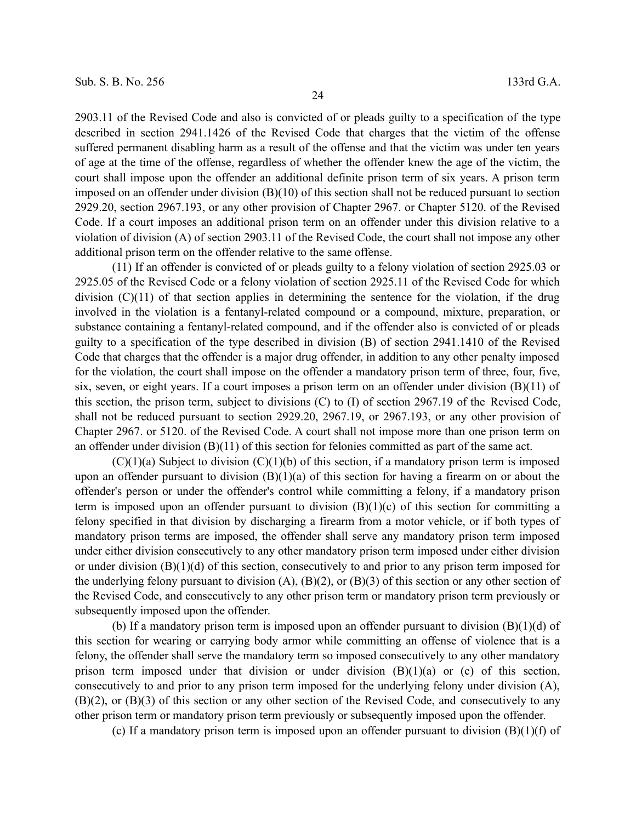2903.11 of the Revised Code and also is convicted of or pleads guilty to a specification of the type described in section 2941.1426 of the Revised Code that charges that the victim of the offense suffered permanent disabling harm as a result of the offense and that the victim was under ten years of age at the time of the offense, regardless of whether the offender knew the age of the victim, the court shall impose upon the offender an additional definite prison term of six years. A prison term imposed on an offender under division (B)(10) of this section shall not be reduced pursuant to section 2929.20, section 2967.193, or any other provision of Chapter 2967. or Chapter 5120. of the Revised Code. If a court imposes an additional prison term on an offender under this division relative to a violation of division (A) of section 2903.11 of the Revised Code, the court shall not impose any other additional prison term on the offender relative to the same offense.

(11) If an offender is convicted of or pleads guilty to a felony violation of section 2925.03 or 2925.05 of the Revised Code or a felony violation of section 2925.11 of the Revised Code for which division (C)(11) of that section applies in determining the sentence for the violation, if the drug involved in the violation is a fentanyl-related compound or a compound, mixture, preparation, or substance containing a fentanyl-related compound, and if the offender also is convicted of or pleads guilty to a specification of the type described in division (B) of section 2941.1410 of the Revised Code that charges that the offender is a major drug offender, in addition to any other penalty imposed for the violation, the court shall impose on the offender a mandatory prison term of three, four, five, six, seven, or eight years. If a court imposes a prison term on an offender under division (B)(11) of this section, the prison term, subject to divisions (C) to (I) of section 2967.19 of the Revised Code, shall not be reduced pursuant to section 2929.20, 2967.19, or 2967.193, or any other provision of Chapter 2967. or 5120. of the Revised Code. A court shall not impose more than one prison term on an offender under division (B)(11) of this section for felonies committed as part of the same act.

 $(C)(1)(a)$  Subject to division  $(C)(1)(b)$  of this section, if a mandatory prison term is imposed upon an offender pursuant to division  $(B)(1)(a)$  of this section for having a firearm on or about the offender's person or under the offender's control while committing a felony, if a mandatory prison term is imposed upon an offender pursuant to division  $(B)(1)(c)$  of this section for committing a felony specified in that division by discharging a firearm from a motor vehicle, or if both types of mandatory prison terms are imposed, the offender shall serve any mandatory prison term imposed under either division consecutively to any other mandatory prison term imposed under either division or under division (B)(1)(d) of this section, consecutively to and prior to any prison term imposed for the underlying felony pursuant to division (A),  $(B)(2)$ , or  $(B)(3)$  of this section or any other section of the Revised Code, and consecutively to any other prison term or mandatory prison term previously or subsequently imposed upon the offender.

(b) If a mandatory prison term is imposed upon an offender pursuant to division  $(B)(1)(d)$  of this section for wearing or carrying body armor while committing an offense of violence that is a felony, the offender shall serve the mandatory term so imposed consecutively to any other mandatory prison term imposed under that division or under division  $(B)(1)(a)$  or  $(c)$  of this section, consecutively to and prior to any prison term imposed for the underlying felony under division (A), (B)(2), or (B)(3) of this section or any other section of the Revised Code, and consecutively to any other prison term or mandatory prison term previously or subsequently imposed upon the offender.

(c) If a mandatory prison term is imposed upon an offender pursuant to division  $(B)(1)(f)$  of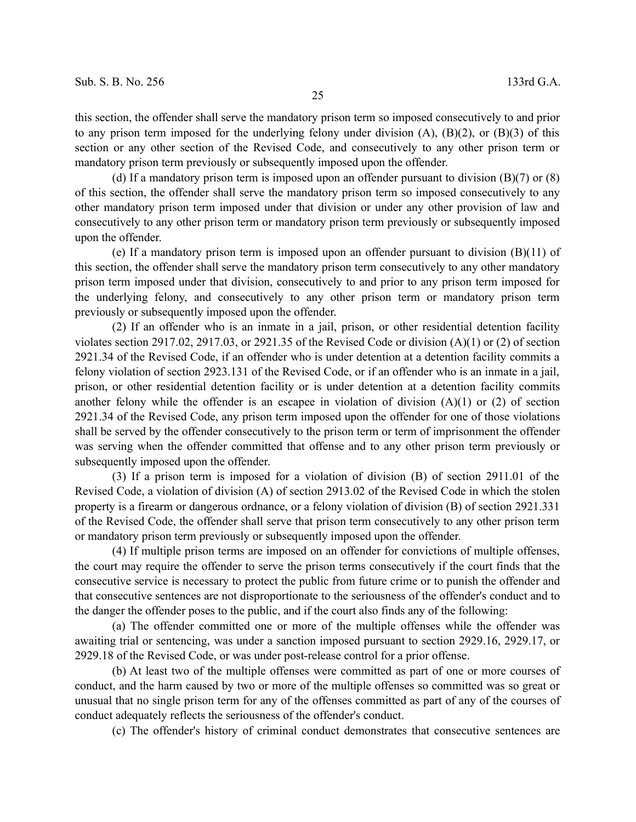this section, the offender shall serve the mandatory prison term so imposed consecutively to and prior to any prison term imposed for the underlying felony under division (A), (B)(2), or (B)(3) of this section or any other section of the Revised Code, and consecutively to any other prison term or mandatory prison term previously or subsequently imposed upon the offender.

(d) If a mandatory prison term is imposed upon an offender pursuant to division  $(B)(7)$  or  $(8)$ of this section, the offender shall serve the mandatory prison term so imposed consecutively to any other mandatory prison term imposed under that division or under any other provision of law and consecutively to any other prison term or mandatory prison term previously or subsequently imposed upon the offender.

(e) If a mandatory prison term is imposed upon an offender pursuant to division  $(B)(11)$  of this section, the offender shall serve the mandatory prison term consecutively to any other mandatory prison term imposed under that division, consecutively to and prior to any prison term imposed for the underlying felony, and consecutively to any other prison term or mandatory prison term previously or subsequently imposed upon the offender.

(2) If an offender who is an inmate in a jail, prison, or other residential detention facility violates section 2917.02, 2917.03, or 2921.35 of the Revised Code or division (A)(1) or (2) of section 2921.34 of the Revised Code, if an offender who is under detention at a detention facility commits a felony violation of section 2923.131 of the Revised Code, or if an offender who is an inmate in a jail, prison, or other residential detention facility or is under detention at a detention facility commits another felony while the offender is an escapee in violation of division (A)(1) or (2) of section 2921.34 of the Revised Code, any prison term imposed upon the offender for one of those violations shall be served by the offender consecutively to the prison term or term of imprisonment the offender was serving when the offender committed that offense and to any other prison term previously or subsequently imposed upon the offender.

(3) If a prison term is imposed for a violation of division (B) of section 2911.01 of the Revised Code, a violation of division (A) of section 2913.02 of the Revised Code in which the stolen property is a firearm or dangerous ordnance, or a felony violation of division (B) of section 2921.331 of the Revised Code, the offender shall serve that prison term consecutively to any other prison term or mandatory prison term previously or subsequently imposed upon the offender.

(4) If multiple prison terms are imposed on an offender for convictions of multiple offenses, the court may require the offender to serve the prison terms consecutively if the court finds that the consecutive service is necessary to protect the public from future crime or to punish the offender and that consecutive sentences are not disproportionate to the seriousness of the offender's conduct and to the danger the offender poses to the public, and if the court also finds any of the following:

(a) The offender committed one or more of the multiple offenses while the offender was awaiting trial or sentencing, was under a sanction imposed pursuant to section 2929.16, 2929.17, or 2929.18 of the Revised Code, or was under post-release control for a prior offense.

(b) At least two of the multiple offenses were committed as part of one or more courses of conduct, and the harm caused by two or more of the multiple offenses so committed was so great or unusual that no single prison term for any of the offenses committed as part of any of the courses of conduct adequately reflects the seriousness of the offender's conduct.

(c) The offender's history of criminal conduct demonstrates that consecutive sentences are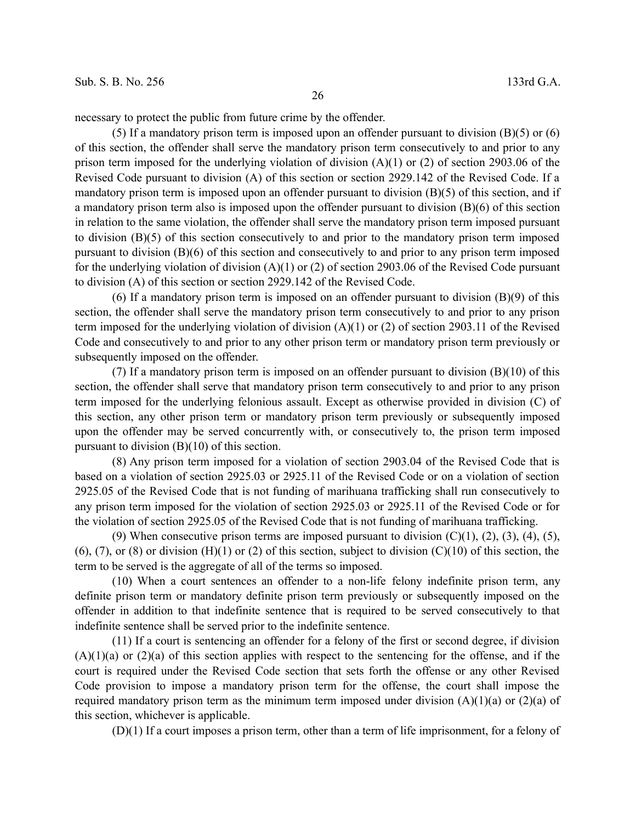necessary to protect the public from future crime by the offender.

(5) If a mandatory prison term is imposed upon an offender pursuant to division  $(B)(5)$  or  $(6)$ of this section, the offender shall serve the mandatory prison term consecutively to and prior to any prison term imposed for the underlying violation of division  $(A)(1)$  or (2) of section 2903.06 of the Revised Code pursuant to division (A) of this section or section 2929.142 of the Revised Code. If a mandatory prison term is imposed upon an offender pursuant to division (B)(5) of this section, and if a mandatory prison term also is imposed upon the offender pursuant to division (B)(6) of this section in relation to the same violation, the offender shall serve the mandatory prison term imposed pursuant to division (B)(5) of this section consecutively to and prior to the mandatory prison term imposed pursuant to division (B)(6) of this section and consecutively to and prior to any prison term imposed for the underlying violation of division (A)(1) or (2) of section 2903.06 of the Revised Code pursuant to division (A) of this section or section 2929.142 of the Revised Code.

(6) If a mandatory prison term is imposed on an offender pursuant to division  $(B)(9)$  of this section, the offender shall serve the mandatory prison term consecutively to and prior to any prison term imposed for the underlying violation of division (A)(1) or (2) of section 2903.11 of the Revised Code and consecutively to and prior to any other prison term or mandatory prison term previously or subsequently imposed on the offender.

(7) If a mandatory prison term is imposed on an offender pursuant to division  $(B)(10)$  of this section, the offender shall serve that mandatory prison term consecutively to and prior to any prison term imposed for the underlying felonious assault. Except as otherwise provided in division (C) of this section, any other prison term or mandatory prison term previously or subsequently imposed upon the offender may be served concurrently with, or consecutively to, the prison term imposed pursuant to division (B)(10) of this section.

(8) Any prison term imposed for a violation of section 2903.04 of the Revised Code that is based on a violation of section 2925.03 or 2925.11 of the Revised Code or on a violation of section 2925.05 of the Revised Code that is not funding of marihuana trafficking shall run consecutively to any prison term imposed for the violation of section 2925.03 or 2925.11 of the Revised Code or for the violation of section 2925.05 of the Revised Code that is not funding of marihuana trafficking.

(9) When consecutive prison terms are imposed pursuant to division  $(C)(1)$ ,  $(2)$ ,  $(3)$ ,  $(4)$ ,  $(5)$ ,  $(6)$ ,  $(7)$ , or  $(8)$  or division  $(H)(1)$  or  $(2)$  of this section, subject to division  $(C)(10)$  of this section, the term to be served is the aggregate of all of the terms so imposed.

(10) When a court sentences an offender to a non-life felony indefinite prison term, any definite prison term or mandatory definite prison term previously or subsequently imposed on the offender in addition to that indefinite sentence that is required to be served consecutively to that indefinite sentence shall be served prior to the indefinite sentence.

(11) If a court is sentencing an offender for a felony of the first or second degree, if division  $(A)(1)(a)$  or  $(2)(a)$  of this section applies with respect to the sentencing for the offense, and if the court is required under the Revised Code section that sets forth the offense or any other Revised Code provision to impose a mandatory prison term for the offense, the court shall impose the required mandatory prison term as the minimum term imposed under division  $(A)(1)(a)$  or  $(2)(a)$  of this section, whichever is applicable.

(D)(1) If a court imposes a prison term, other than a term of life imprisonment, for a felony of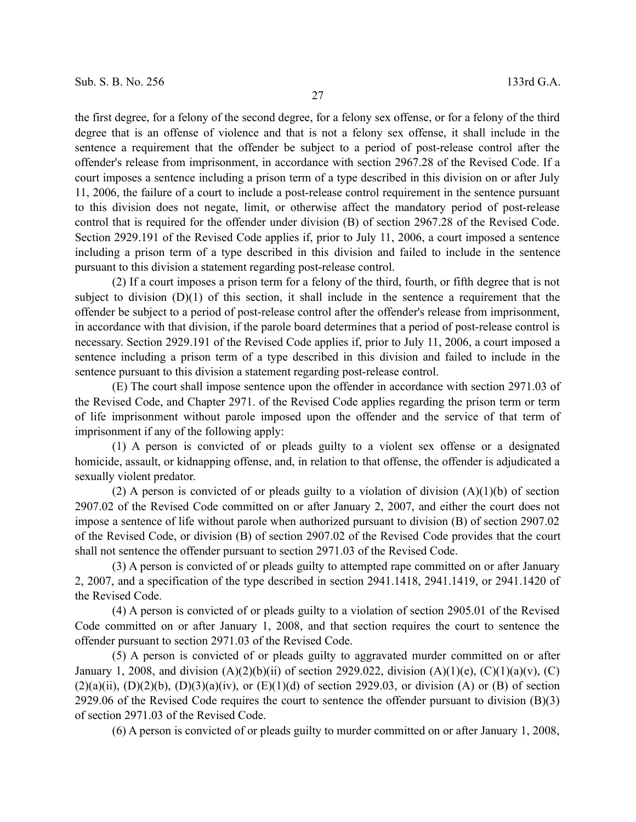the first degree, for a felony of the second degree, for a felony sex offense, or for a felony of the third degree that is an offense of violence and that is not a felony sex offense, it shall include in the sentence a requirement that the offender be subject to a period of post-release control after the offender's release from imprisonment, in accordance with section 2967.28 of the Revised Code. If a court imposes a sentence including a prison term of a type described in this division on or after July 11, 2006, the failure of a court to include a post-release control requirement in the sentence pursuant to this division does not negate, limit, or otherwise affect the mandatory period of post-release control that is required for the offender under division (B) of section 2967.28 of the Revised Code. Section 2929.191 of the Revised Code applies if, prior to July 11, 2006, a court imposed a sentence including a prison term of a type described in this division and failed to include in the sentence pursuant to this division a statement regarding post-release control.

(2) If a court imposes a prison term for a felony of the third, fourth, or fifth degree that is not subject to division (D)(1) of this section, it shall include in the sentence a requirement that the offender be subject to a period of post-release control after the offender's release from imprisonment, in accordance with that division, if the parole board determines that a period of post-release control is necessary. Section 2929.191 of the Revised Code applies if, prior to July 11, 2006, a court imposed a sentence including a prison term of a type described in this division and failed to include in the sentence pursuant to this division a statement regarding post-release control.

(E) The court shall impose sentence upon the offender in accordance with section 2971.03 of the Revised Code, and Chapter 2971. of the Revised Code applies regarding the prison term or term of life imprisonment without parole imposed upon the offender and the service of that term of imprisonment if any of the following apply:

(1) A person is convicted of or pleads guilty to a violent sex offense or a designated homicide, assault, or kidnapping offense, and, in relation to that offense, the offender is adjudicated a sexually violent predator.

(2) A person is convicted of or pleads guilty to a violation of division  $(A)(1)(b)$  of section 2907.02 of the Revised Code committed on or after January 2, 2007, and either the court does not impose a sentence of life without parole when authorized pursuant to division (B) of section 2907.02 of the Revised Code, or division (B) of section 2907.02 of the Revised Code provides that the court shall not sentence the offender pursuant to section 2971.03 of the Revised Code.

(3) A person is convicted of or pleads guilty to attempted rape committed on or after January 2, 2007, and a specification of the type described in section 2941.1418, 2941.1419, or 2941.1420 of the Revised Code.

(4) A person is convicted of or pleads guilty to a violation of section 2905.01 of the Revised Code committed on or after January 1, 2008, and that section requires the court to sentence the offender pursuant to section 2971.03 of the Revised Code.

(5) A person is convicted of or pleads guilty to aggravated murder committed on or after January 1, 2008, and division  $(A)(2)(b)(ii)$  of section 2929.022, division  $(A)(1)(e)$ ,  $(C)(1)(a)(v)$ ,  $(C)$  $(2)(a)(ii)$ ,  $(D)(2)(b)$ ,  $(D)(3)(a)(iv)$ , or  $(E)(1)(d)$  of section 2929.03, or division (A) or (B) of section 2929.06 of the Revised Code requires the court to sentence the offender pursuant to division (B)(3) of section 2971.03 of the Revised Code.

(6) A person is convicted of or pleads guilty to murder committed on or after January 1, 2008,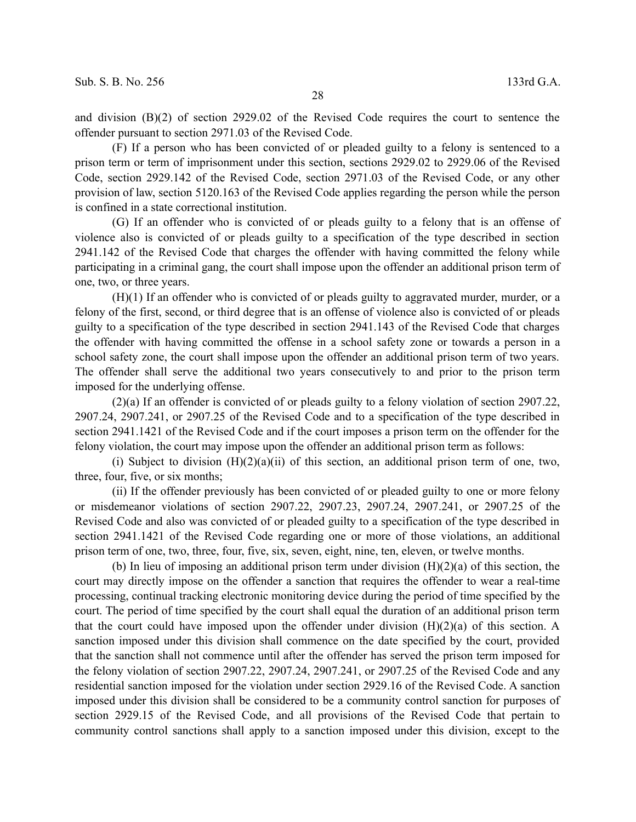and division (B)(2) of section 2929.02 of the Revised Code requires the court to sentence the offender pursuant to section 2971.03 of the Revised Code.

(F) If a person who has been convicted of or pleaded guilty to a felony is sentenced to a prison term or term of imprisonment under this section, sections 2929.02 to 2929.06 of the Revised Code, section 2929.142 of the Revised Code, section 2971.03 of the Revised Code, or any other provision of law, section 5120.163 of the Revised Code applies regarding the person while the person is confined in a state correctional institution.

(G) If an offender who is convicted of or pleads guilty to a felony that is an offense of violence also is convicted of or pleads guilty to a specification of the type described in section 2941.142 of the Revised Code that charges the offender with having committed the felony while participating in a criminal gang, the court shall impose upon the offender an additional prison term of one, two, or three years.

(H)(1) If an offender who is convicted of or pleads guilty to aggravated murder, murder, or a felony of the first, second, or third degree that is an offense of violence also is convicted of or pleads guilty to a specification of the type described in section 2941.143 of the Revised Code that charges the offender with having committed the offense in a school safety zone or towards a person in a school safety zone, the court shall impose upon the offender an additional prison term of two years. The offender shall serve the additional two years consecutively to and prior to the prison term imposed for the underlying offense.

(2)(a) If an offender is convicted of or pleads guilty to a felony violation of section 2907.22, 2907.24, 2907.241, or 2907.25 of the Revised Code and to a specification of the type described in section 2941.1421 of the Revised Code and if the court imposes a prison term on the offender for the felony violation, the court may impose upon the offender an additional prison term as follows:

(i) Subject to division  $(H)(2)(a)(ii)$  of this section, an additional prison term of one, two, three, four, five, or six months;

(ii) If the offender previously has been convicted of or pleaded guilty to one or more felony or misdemeanor violations of section 2907.22, 2907.23, 2907.24, 2907.241, or 2907.25 of the Revised Code and also was convicted of or pleaded guilty to a specification of the type described in section 2941.1421 of the Revised Code regarding one or more of those violations, an additional prison term of one, two, three, four, five, six, seven, eight, nine, ten, eleven, or twelve months.

(b) In lieu of imposing an additional prison term under division  $(H)(2)(a)$  of this section, the court may directly impose on the offender a sanction that requires the offender to wear a real-time processing, continual tracking electronic monitoring device during the period of time specified by the court. The period of time specified by the court shall equal the duration of an additional prison term that the court could have imposed upon the offender under division  $(H)(2)(a)$  of this section. A sanction imposed under this division shall commence on the date specified by the court, provided that the sanction shall not commence until after the offender has served the prison term imposed for the felony violation of section 2907.22, 2907.24, 2907.241, or 2907.25 of the Revised Code and any residential sanction imposed for the violation under section 2929.16 of the Revised Code. A sanction imposed under this division shall be considered to be a community control sanction for purposes of section 2929.15 of the Revised Code, and all provisions of the Revised Code that pertain to community control sanctions shall apply to a sanction imposed under this division, except to the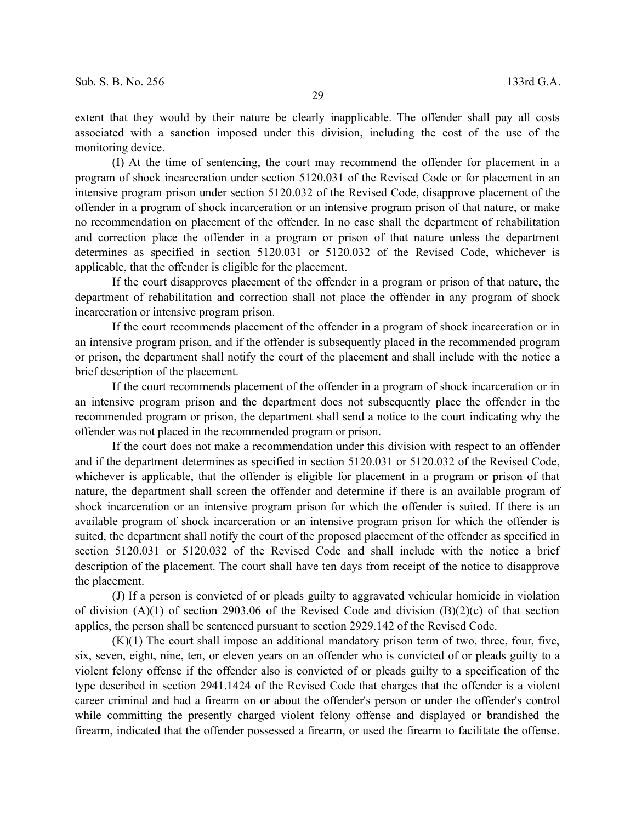extent that they would by their nature be clearly inapplicable. The offender shall pay all costs associated with a sanction imposed under this division, including the cost of the use of the monitoring device.

(I) At the time of sentencing, the court may recommend the offender for placement in a program of shock incarceration under section 5120.031 of the Revised Code or for placement in an intensive program prison under section 5120.032 of the Revised Code, disapprove placement of the offender in a program of shock incarceration or an intensive program prison of that nature, or make no recommendation on placement of the offender. In no case shall the department of rehabilitation and correction place the offender in a program or prison of that nature unless the department determines as specified in section 5120.031 or 5120.032 of the Revised Code, whichever is applicable, that the offender is eligible for the placement.

If the court disapproves placement of the offender in a program or prison of that nature, the department of rehabilitation and correction shall not place the offender in any program of shock incarceration or intensive program prison.

If the court recommends placement of the offender in a program of shock incarceration or in an intensive program prison, and if the offender is subsequently placed in the recommended program or prison, the department shall notify the court of the placement and shall include with the notice a brief description of the placement.

If the court recommends placement of the offender in a program of shock incarceration or in an intensive program prison and the department does not subsequently place the offender in the recommended program or prison, the department shall send a notice to the court indicating why the offender was not placed in the recommended program or prison.

If the court does not make a recommendation under this division with respect to an offender and if the department determines as specified in section 5120.031 or 5120.032 of the Revised Code, whichever is applicable, that the offender is eligible for placement in a program or prison of that nature, the department shall screen the offender and determine if there is an available program of shock incarceration or an intensive program prison for which the offender is suited. If there is an available program of shock incarceration or an intensive program prison for which the offender is suited, the department shall notify the court of the proposed placement of the offender as specified in section 5120.031 or 5120.032 of the Revised Code and shall include with the notice a brief description of the placement. The court shall have ten days from receipt of the notice to disapprove the placement.

(J) If a person is convicted of or pleads guilty to aggravated vehicular homicide in violation of division  $(A)(1)$  of section 2903.06 of the Revised Code and division  $(B)(2)(c)$  of that section applies, the person shall be sentenced pursuant to section 2929.142 of the Revised Code.

(K)(1) The court shall impose an additional mandatory prison term of two, three, four, five, six, seven, eight, nine, ten, or eleven years on an offender who is convicted of or pleads guilty to a violent felony offense if the offender also is convicted of or pleads guilty to a specification of the type described in section 2941.1424 of the Revised Code that charges that the offender is a violent career criminal and had a firearm on or about the offender's person or under the offender's control while committing the presently charged violent felony offense and displayed or brandished the firearm, indicated that the offender possessed a firearm, or used the firearm to facilitate the offense.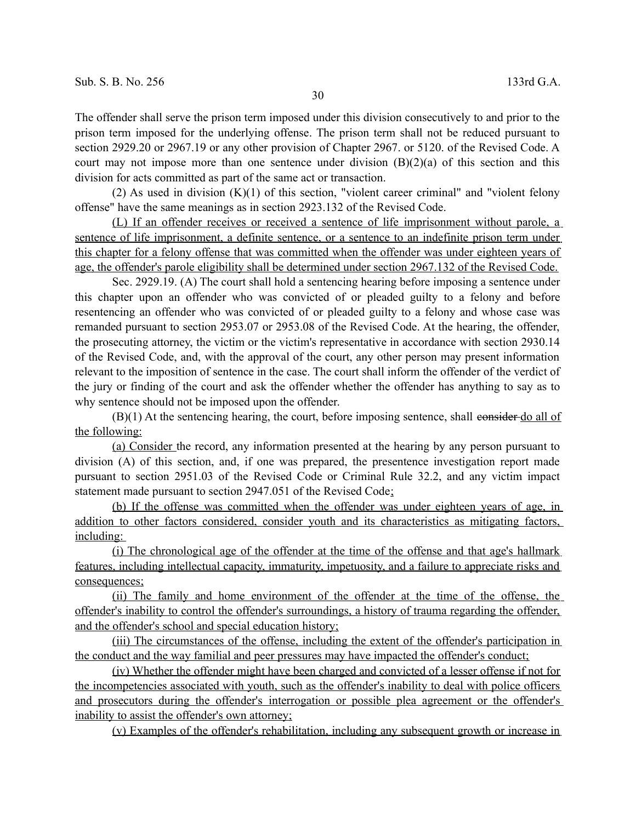The offender shall serve the prison term imposed under this division consecutively to and prior to the prison term imposed for the underlying offense. The prison term shall not be reduced pursuant to section 2929.20 or 2967.19 or any other provision of Chapter 2967. or 5120. of the Revised Code. A court may not impose more than one sentence under division  $(B)(2)(a)$  of this section and this division for acts committed as part of the same act or transaction.

(2) As used in division  $(K)(1)$  of this section, "violent career criminal" and "violent felony offense" have the same meanings as in section 2923.132 of the Revised Code.

(L) If an offender receives or received a sentence of life imprisonment without parole, a sentence of life imprisonment, a definite sentence, or a sentence to an indefinite prison term under this chapter for a felony offense that was committed when the offender was under eighteen years of age, the offender's parole eligibility shall be determined under section 2967.132 of the Revised Code.

Sec. 2929.19. (A) The court shall hold a sentencing hearing before imposing a sentence under this chapter upon an offender who was convicted of or pleaded guilty to a felony and before resentencing an offender who was convicted of or pleaded guilty to a felony and whose case was remanded pursuant to section 2953.07 or 2953.08 of the Revised Code. At the hearing, the offender, the prosecuting attorney, the victim or the victim's representative in accordance with section 2930.14 of the Revised Code, and, with the approval of the court, any other person may present information relevant to the imposition of sentence in the case. The court shall inform the offender of the verdict of the jury or finding of the court and ask the offender whether the offender has anything to say as to why sentence should not be imposed upon the offender.

 $(B)(1)$  At the sentencing hearing, the court, before imposing sentence, shall consider do all of the following:

(a) Consider the record, any information presented at the hearing by any person pursuant to division (A) of this section, and, if one was prepared, the presentence investigation report made pursuant to section 2951.03 of the Revised Code or Criminal Rule 32.2, and any victim impact statement made pursuant to section 2947.051 of the Revised Code;

(b) If the offense was committed when the offender was under eighteen years of age, in addition to other factors considered, consider youth and its characteristics as mitigating factors, including:

(i) The chronological age of the offender at the time of the offense and that age's hallmark features, including intellectual capacity, immaturity, impetuosity, and a failure to appreciate risks and consequences;

(ii) The family and home environment of the offender at the time of the offense, the offender's inability to control the offender's surroundings, a history of trauma regarding the offender, and the offender's school and special education history;

(iii) The circumstances of the offense, including the extent of the offender's participation in the conduct and the way familial and peer pressures may have impacted the offender's conduct;

(iv) Whether the offender might have been charged and convicted of a lesser offense if not for the incompetencies associated with youth, such as the offender's inability to deal with police officers and prosecutors during the offender's interrogation or possible plea agreement or the offender's inability to assist the offender's own attorney;

(v) Examples of the offender's rehabilitation, including any subsequent growth or increase in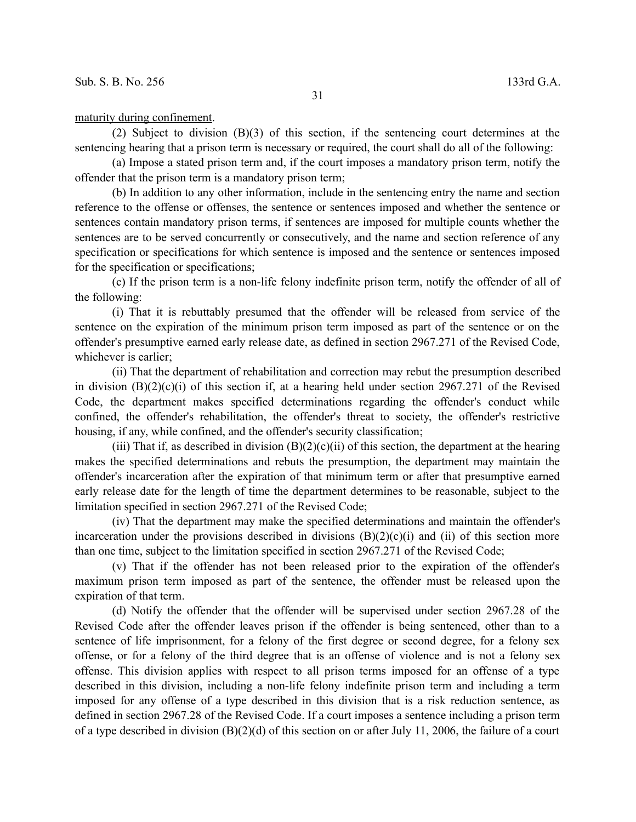## Sub. S. B. No. 256 133rd G.A.

## maturity during confinement.

(2) Subject to division (B)(3) of this section, if the sentencing court determines at the sentencing hearing that a prison term is necessary or required, the court shall do all of the following:

(a) Impose a stated prison term and, if the court imposes a mandatory prison term, notify the offender that the prison term is a mandatory prison term;

(b) In addition to any other information, include in the sentencing entry the name and section reference to the offense or offenses, the sentence or sentences imposed and whether the sentence or sentences contain mandatory prison terms, if sentences are imposed for multiple counts whether the sentences are to be served concurrently or consecutively, and the name and section reference of any specification or specifications for which sentence is imposed and the sentence or sentences imposed for the specification or specifications;

(c) If the prison term is a non-life felony indefinite prison term, notify the offender of all of the following:

(i) That it is rebuttably presumed that the offender will be released from service of the sentence on the expiration of the minimum prison term imposed as part of the sentence or on the offender's presumptive earned early release date, as defined in section 2967.271 of the Revised Code, whichever is earlier;

(ii) That the department of rehabilitation and correction may rebut the presumption described in division  $(B)(2)(c)(i)$  of this section if, at a hearing held under section 2967.271 of the Revised Code, the department makes specified determinations regarding the offender's conduct while confined, the offender's rehabilitation, the offender's threat to society, the offender's restrictive housing, if any, while confined, and the offender's security classification;

(iii) That if, as described in division  $(B)(2)(c)(ii)$  of this section, the department at the hearing makes the specified determinations and rebuts the presumption, the department may maintain the offender's incarceration after the expiration of that minimum term or after that presumptive earned early release date for the length of time the department determines to be reasonable, subject to the limitation specified in section 2967.271 of the Revised Code;

(iv) That the department may make the specified determinations and maintain the offender's incarceration under the provisions described in divisions  $(B)(2)(c)(i)$  and (ii) of this section more than one time, subject to the limitation specified in section 2967.271 of the Revised Code;

(v) That if the offender has not been released prior to the expiration of the offender's maximum prison term imposed as part of the sentence, the offender must be released upon the expiration of that term.

(d) Notify the offender that the offender will be supervised under section 2967.28 of the Revised Code after the offender leaves prison if the offender is being sentenced, other than to a sentence of life imprisonment, for a felony of the first degree or second degree, for a felony sex offense, or for a felony of the third degree that is an offense of violence and is not a felony sex offense. This division applies with respect to all prison terms imposed for an offense of a type described in this division, including a non-life felony indefinite prison term and including a term imposed for any offense of a type described in this division that is a risk reduction sentence, as defined in section 2967.28 of the Revised Code. If a court imposes a sentence including a prison term of a type described in division (B)(2)(d) of this section on or after July 11, 2006, the failure of a court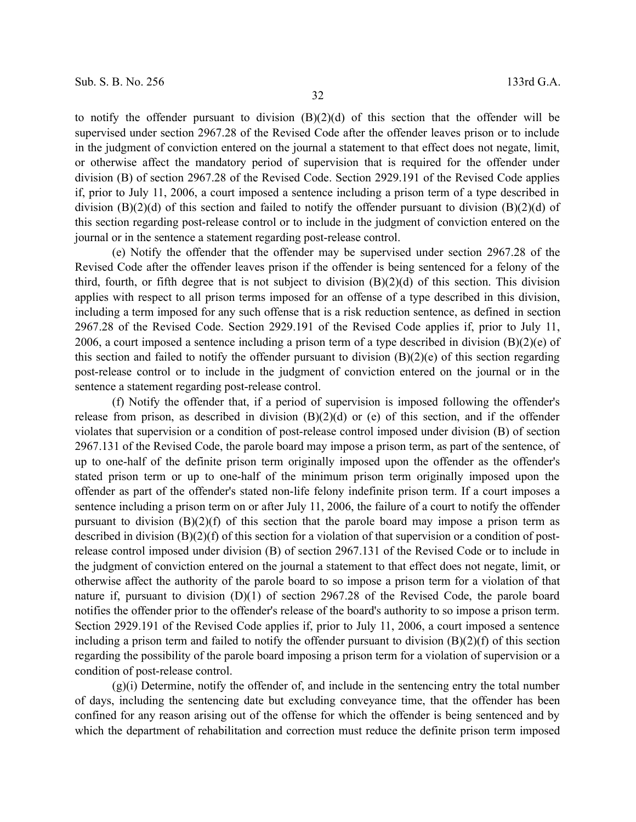to notify the offender pursuant to division  $(B)(2)(d)$  of this section that the offender will be supervised under section 2967.28 of the Revised Code after the offender leaves prison or to include in the judgment of conviction entered on the journal a statement to that effect does not negate, limit, or otherwise affect the mandatory period of supervision that is required for the offender under division (B) of section 2967.28 of the Revised Code. Section 2929.191 of the Revised Code applies if, prior to July 11, 2006, a court imposed a sentence including a prison term of a type described in division  $(B)(2)(d)$  of this section and failed to notify the offender pursuant to division  $(B)(2)(d)$  of this section regarding post-release control or to include in the judgment of conviction entered on the journal or in the sentence a statement regarding post-release control.

(e) Notify the offender that the offender may be supervised under section 2967.28 of the Revised Code after the offender leaves prison if the offender is being sentenced for a felony of the third, fourth, or fifth degree that is not subject to division (B)(2)(d) of this section. This division applies with respect to all prison terms imposed for an offense of a type described in this division, including a term imposed for any such offense that is a risk reduction sentence, as defined in section 2967.28 of the Revised Code. Section 2929.191 of the Revised Code applies if, prior to July 11, 2006, a court imposed a sentence including a prison term of a type described in division (B)(2)(e) of this section and failed to notify the offender pursuant to division (B)(2)(e) of this section regarding post-release control or to include in the judgment of conviction entered on the journal or in the sentence a statement regarding post-release control.

(f) Notify the offender that, if a period of supervision is imposed following the offender's release from prison, as described in division (B)(2)(d) or (e) of this section, and if the offender violates that supervision or a condition of post-release control imposed under division (B) of section 2967.131 of the Revised Code, the parole board may impose a prison term, as part of the sentence, of up to one-half of the definite prison term originally imposed upon the offender as the offender's stated prison term or up to one-half of the minimum prison term originally imposed upon the offender as part of the offender's stated non-life felony indefinite prison term. If a court imposes a sentence including a prison term on or after July 11, 2006, the failure of a court to notify the offender pursuant to division  $(B)(2)(f)$  of this section that the parole board may impose a prison term as described in division (B)(2)(f) of this section for a violation of that supervision or a condition of postrelease control imposed under division (B) of section 2967.131 of the Revised Code or to include in the judgment of conviction entered on the journal a statement to that effect does not negate, limit, or otherwise affect the authority of the parole board to so impose a prison term for a violation of that nature if, pursuant to division  $(D)(1)$  of section 2967.28 of the Revised Code, the parole board notifies the offender prior to the offender's release of the board's authority to so impose a prison term. Section 2929.191 of the Revised Code applies if, prior to July 11, 2006, a court imposed a sentence including a prison term and failed to notify the offender pursuant to division  $(B)(2)(f)$  of this section regarding the possibility of the parole board imposing a prison term for a violation of supervision or a condition of post-release control.

 $(g)(i)$  Determine, notify the offender of, and include in the sentencing entry the total number of days, including the sentencing date but excluding conveyance time, that the offender has been confined for any reason arising out of the offense for which the offender is being sentenced and by which the department of rehabilitation and correction must reduce the definite prison term imposed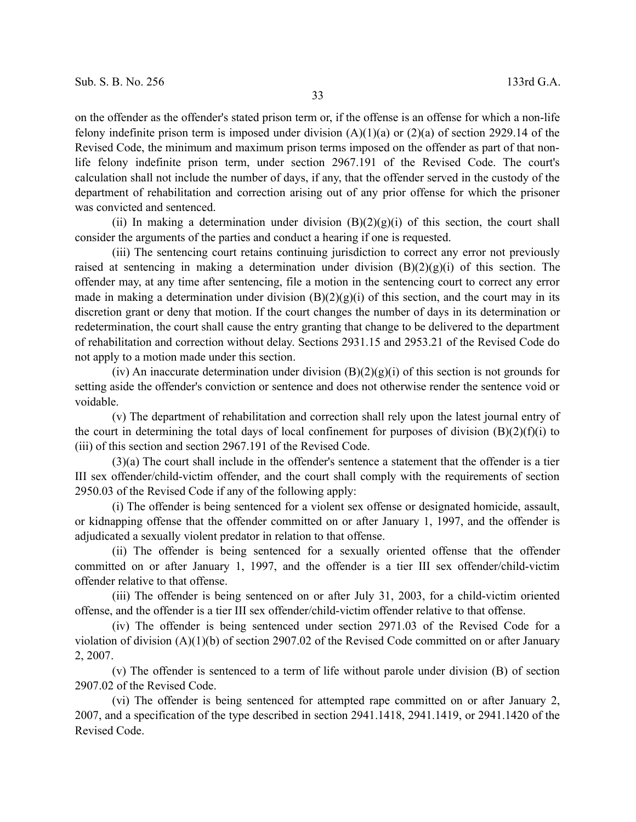on the offender as the offender's stated prison term or, if the offense is an offense for which a non-life felony indefinite prison term is imposed under division  $(A)(1)(a)$  or  $(2)(a)$  of section 2929.14 of the Revised Code, the minimum and maximum prison terms imposed on the offender as part of that nonlife felony indefinite prison term, under section 2967.191 of the Revised Code. The court's calculation shall not include the number of days, if any, that the offender served in the custody of the department of rehabilitation and correction arising out of any prior offense for which the prisoner was convicted and sentenced.

(ii) In making a determination under division  $(B)(2)(g)(i)$  of this section, the court shall consider the arguments of the parties and conduct a hearing if one is requested.

(iii) The sentencing court retains continuing jurisdiction to correct any error not previously raised at sentencing in making a determination under division  $(B)(2)(g)(i)$  of this section. The offender may, at any time after sentencing, file a motion in the sentencing court to correct any error made in making a determination under division  $(B)(2)(g)(i)$  of this section, and the court may in its discretion grant or deny that motion. If the court changes the number of days in its determination or redetermination, the court shall cause the entry granting that change to be delivered to the department of rehabilitation and correction without delay. Sections 2931.15 and 2953.21 of the Revised Code do not apply to a motion made under this section.

(iv) An inaccurate determination under division  $(B)(2)(g)(i)$  of this section is not grounds for setting aside the offender's conviction or sentence and does not otherwise render the sentence void or voidable.

(v) The department of rehabilitation and correction shall rely upon the latest journal entry of the court in determining the total days of local confinement for purposes of division  $(B)(2)(f)(i)$  to (iii) of this section and section 2967.191 of the Revised Code.

(3)(a) The court shall include in the offender's sentence a statement that the offender is a tier III sex offender/child-victim offender, and the court shall comply with the requirements of section 2950.03 of the Revised Code if any of the following apply:

(i) The offender is being sentenced for a violent sex offense or designated homicide, assault, or kidnapping offense that the offender committed on or after January 1, 1997, and the offender is adjudicated a sexually violent predator in relation to that offense.

(ii) The offender is being sentenced for a sexually oriented offense that the offender committed on or after January 1, 1997, and the offender is a tier III sex offender/child-victim offender relative to that offense.

(iii) The offender is being sentenced on or after July 31, 2003, for a child-victim oriented offense, and the offender is a tier III sex offender/child-victim offender relative to that offense.

(iv) The offender is being sentenced under section 2971.03 of the Revised Code for a violation of division (A)(1)(b) of section 2907.02 of the Revised Code committed on or after January 2, 2007.

(v) The offender is sentenced to a term of life without parole under division (B) of section 2907.02 of the Revised Code.

(vi) The offender is being sentenced for attempted rape committed on or after January 2, 2007, and a specification of the type described in section 2941.1418, 2941.1419, or 2941.1420 of the Revised Code.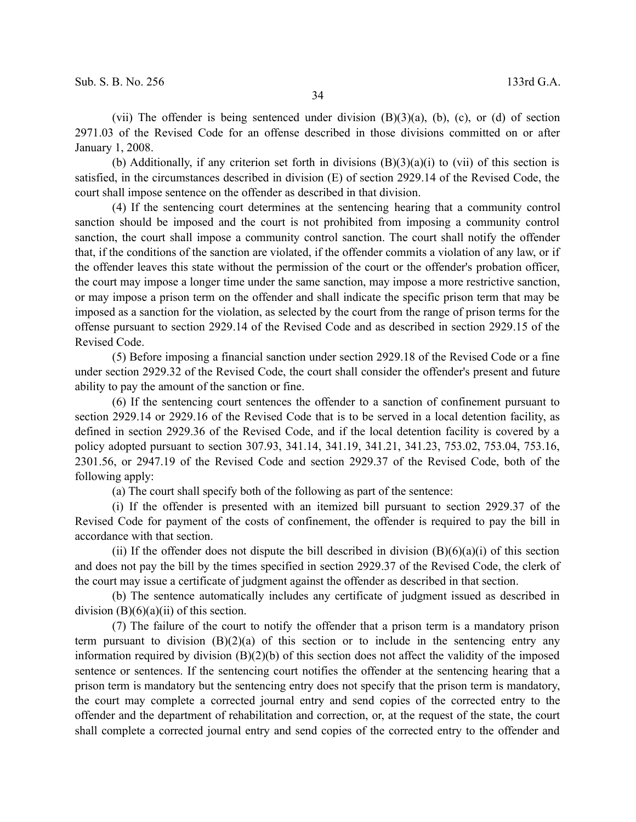(vii) The offender is being sentenced under division (B)(3)(a), (b), (c), or (d) of section 2971.03 of the Revised Code for an offense described in those divisions committed on or after January 1, 2008.

(b) Additionally, if any criterion set forth in divisions  $(B)(3)(a)(i)$  to (vii) of this section is satisfied, in the circumstances described in division (E) of section 2929.14 of the Revised Code, the court shall impose sentence on the offender as described in that division.

(4) If the sentencing court determines at the sentencing hearing that a community control sanction should be imposed and the court is not prohibited from imposing a community control sanction, the court shall impose a community control sanction. The court shall notify the offender that, if the conditions of the sanction are violated, if the offender commits a violation of any law, or if the offender leaves this state without the permission of the court or the offender's probation officer, the court may impose a longer time under the same sanction, may impose a more restrictive sanction, or may impose a prison term on the offender and shall indicate the specific prison term that may be imposed as a sanction for the violation, as selected by the court from the range of prison terms for the offense pursuant to section 2929.14 of the Revised Code and as described in section 2929.15 of the Revised Code.

(5) Before imposing a financial sanction under section 2929.18 of the Revised Code or a fine under section 2929.32 of the Revised Code, the court shall consider the offender's present and future ability to pay the amount of the sanction or fine.

(6) If the sentencing court sentences the offender to a sanction of confinement pursuant to section 2929.14 or 2929.16 of the Revised Code that is to be served in a local detention facility, as defined in section 2929.36 of the Revised Code, and if the local detention facility is covered by a policy adopted pursuant to section 307.93, 341.14, 341.19, 341.21, 341.23, 753.02, 753.04, 753.16, 2301.56, or 2947.19 of the Revised Code and section 2929.37 of the Revised Code, both of the following apply:

(a) The court shall specify both of the following as part of the sentence:

(i) If the offender is presented with an itemized bill pursuant to section 2929.37 of the Revised Code for payment of the costs of confinement, the offender is required to pay the bill in accordance with that section.

(ii) If the offender does not dispute the bill described in division  $(B)(6)(a)(i)$  of this section and does not pay the bill by the times specified in section 2929.37 of the Revised Code, the clerk of the court may issue a certificate of judgment against the offender as described in that section.

(b) The sentence automatically includes any certificate of judgment issued as described in division  $(B)(6)(a)(ii)$  of this section.

(7) The failure of the court to notify the offender that a prison term is a mandatory prison term pursuant to division  $(B)(2)(a)$  of this section or to include in the sentencing entry any information required by division (B)(2)(b) of this section does not affect the validity of the imposed sentence or sentences. If the sentencing court notifies the offender at the sentencing hearing that a prison term is mandatory but the sentencing entry does not specify that the prison term is mandatory, the court may complete a corrected journal entry and send copies of the corrected entry to the offender and the department of rehabilitation and correction, or, at the request of the state, the court shall complete a corrected journal entry and send copies of the corrected entry to the offender and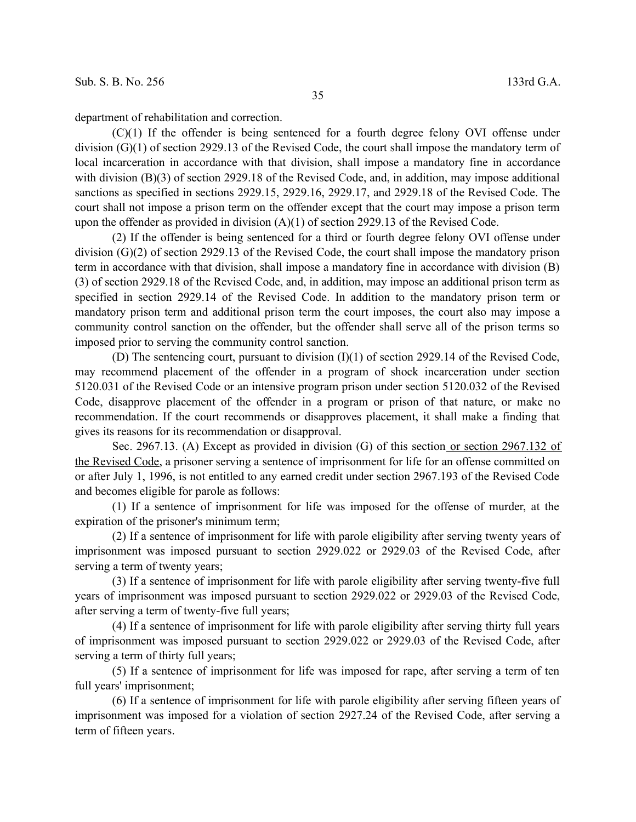department of rehabilitation and correction.

(C)(1) If the offender is being sentenced for a fourth degree felony OVI offense under division (G)(1) of section 2929.13 of the Revised Code, the court shall impose the mandatory term of local incarceration in accordance with that division, shall impose a mandatory fine in accordance with division (B)(3) of section 2929.18 of the Revised Code, and, in addition, may impose additional sanctions as specified in sections 2929.15, 2929.16, 2929.17, and 2929.18 of the Revised Code. The court shall not impose a prison term on the offender except that the court may impose a prison term upon the offender as provided in division (A)(1) of section 2929.13 of the Revised Code.

(2) If the offender is being sentenced for a third or fourth degree felony OVI offense under division (G)(2) of section 2929.13 of the Revised Code, the court shall impose the mandatory prison term in accordance with that division, shall impose a mandatory fine in accordance with division (B) (3) of section 2929.18 of the Revised Code, and, in addition, may impose an additional prison term as specified in section 2929.14 of the Revised Code. In addition to the mandatory prison term or mandatory prison term and additional prison term the court imposes, the court also may impose a community control sanction on the offender, but the offender shall serve all of the prison terms so imposed prior to serving the community control sanction.

(D) The sentencing court, pursuant to division (I)(1) of section 2929.14 of the Revised Code, may recommend placement of the offender in a program of shock incarceration under section 5120.031 of the Revised Code or an intensive program prison under section 5120.032 of the Revised Code, disapprove placement of the offender in a program or prison of that nature, or make no recommendation. If the court recommends or disapproves placement, it shall make a finding that gives its reasons for its recommendation or disapproval.

Sec. 2967.13. (A) Except as provided in division (G) of this section or section 2967.132 of the Revised Code, a prisoner serving a sentence of imprisonment for life for an offense committed on or after July 1, 1996, is not entitled to any earned credit under section 2967.193 of the Revised Code and becomes eligible for parole as follows:

(1) If a sentence of imprisonment for life was imposed for the offense of murder, at the expiration of the prisoner's minimum term;

(2) If a sentence of imprisonment for life with parole eligibility after serving twenty years of imprisonment was imposed pursuant to section 2929.022 or 2929.03 of the Revised Code, after serving a term of twenty years;

(3) If a sentence of imprisonment for life with parole eligibility after serving twenty-five full years of imprisonment was imposed pursuant to section 2929.022 or 2929.03 of the Revised Code, after serving a term of twenty-five full years;

(4) If a sentence of imprisonment for life with parole eligibility after serving thirty full years of imprisonment was imposed pursuant to section 2929.022 or 2929.03 of the Revised Code, after serving a term of thirty full years;

(5) If a sentence of imprisonment for life was imposed for rape, after serving a term of ten full years' imprisonment;

(6) If a sentence of imprisonment for life with parole eligibility after serving fifteen years of imprisonment was imposed for a violation of section 2927.24 of the Revised Code, after serving a term of fifteen years.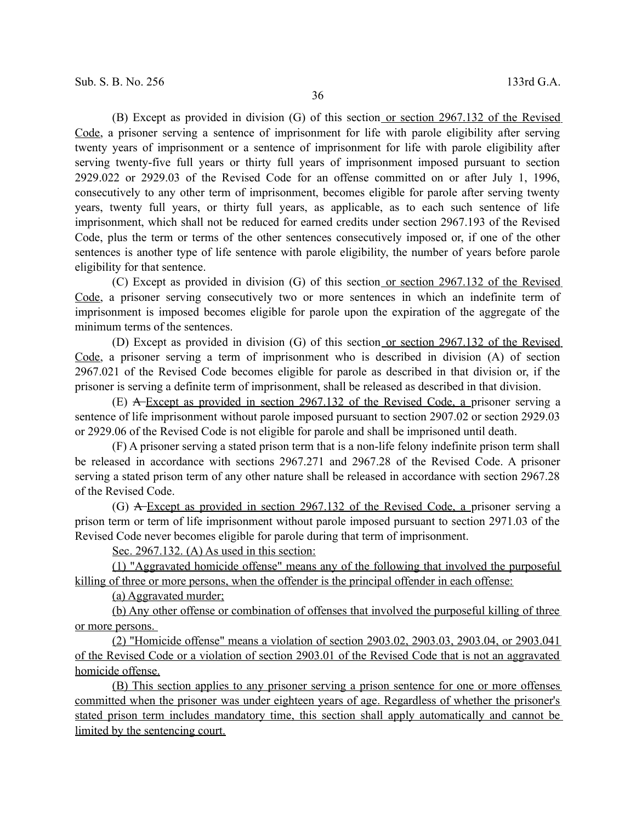(B) Except as provided in division (G) of this section or section 2967.132 of the Revised Code, a prisoner serving a sentence of imprisonment for life with parole eligibility after serving twenty years of imprisonment or a sentence of imprisonment for life with parole eligibility after serving twenty-five full years or thirty full years of imprisonment imposed pursuant to section 2929.022 or 2929.03 of the Revised Code for an offense committed on or after July 1, 1996, consecutively to any other term of imprisonment, becomes eligible for parole after serving twenty years, twenty full years, or thirty full years, as applicable, as to each such sentence of life imprisonment, which shall not be reduced for earned credits under section 2967.193 of the Revised Code, plus the term or terms of the other sentences consecutively imposed or, if one of the other sentences is another type of life sentence with parole eligibility, the number of years before parole eligibility for that sentence.

(C) Except as provided in division (G) of this section or section 2967.132 of the Revised Code, a prisoner serving consecutively two or more sentences in which an indefinite term of imprisonment is imposed becomes eligible for parole upon the expiration of the aggregate of the minimum terms of the sentences.

(D) Except as provided in division (G) of this section or section 2967.132 of the Revised Code, a prisoner serving a term of imprisonment who is described in division (A) of section 2967.021 of the Revised Code becomes eligible for parole as described in that division or, if the prisoner is serving a definite term of imprisonment, shall be released as described in that division.

(E) A Except as provided in section 2967.132 of the Revised Code, a prisoner serving a sentence of life imprisonment without parole imposed pursuant to section 2907.02 or section 2929.03 or 2929.06 of the Revised Code is not eligible for parole and shall be imprisoned until death.

(F) A prisoner serving a stated prison term that is a non-life felony indefinite prison term shall be released in accordance with sections 2967.271 and 2967.28 of the Revised Code. A prisoner serving a stated prison term of any other nature shall be released in accordance with section 2967.28 of the Revised Code.

(G) A Except as provided in section 2967.132 of the Revised Code, a prisoner serving a prison term or term of life imprisonment without parole imposed pursuant to section 2971.03 of the Revised Code never becomes eligible for parole during that term of imprisonment.

Sec. 2967.132. (A) As used in this section:

(1) "Aggravated homicide offense" means any of the following that involved the purposeful killing of three or more persons, when the offender is the principal offender in each offense:

(a) Aggravated murder;

(b) Any other offense or combination of offenses that involved the purposeful killing of three or more persons.

(2) "Homicide offense" means a violation of section 2903.02, 2903.03, 2903.04, or 2903.041 of the Revised Code or a violation of section 2903.01 of the Revised Code that is not an aggravated homicide offense.

(B) This section applies to any prisoner serving a prison sentence for one or more offenses committed when the prisoner was under eighteen years of age. Regardless of whether the prisoner's stated prison term includes mandatory time, this section shall apply automatically and cannot be limited by the sentencing court.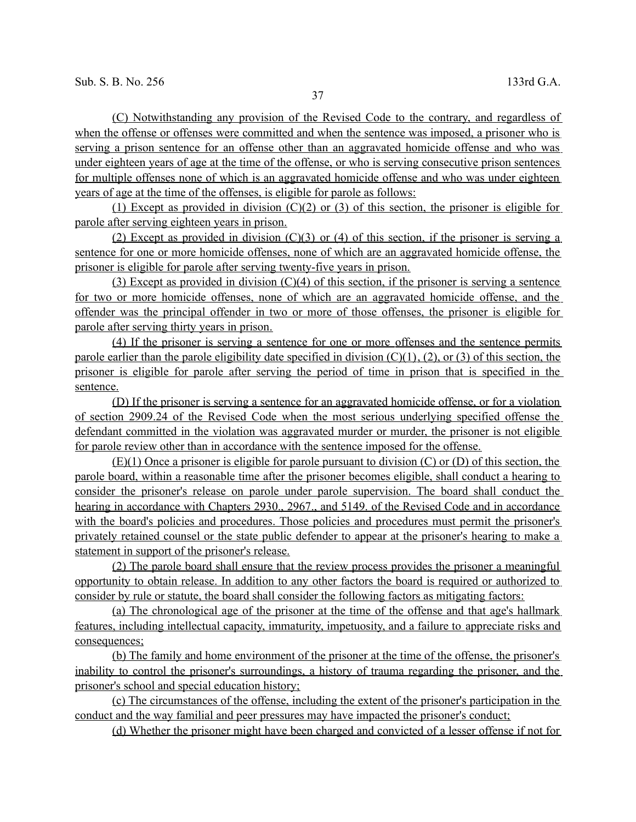(C) Notwithstanding any provision of the Revised Code to the contrary, and regardless of when the offense or offenses were committed and when the sentence was imposed, a prisoner who is serving a prison sentence for an offense other than an aggravated homicide offense and who was under eighteen years of age at the time of the offense, or who is serving consecutive prison sentences for multiple offenses none of which is an aggravated homicide offense and who was under eighteen years of age at the time of the offenses, is eligible for parole as follows:

(1) Except as provided in division (C)(2) or (3) of this section, the prisoner is eligible for parole after serving eighteen years in prison.

(2) Except as provided in division  $(C)(3)$  or (4) of this section, if the prisoner is serving a sentence for one or more homicide offenses, none of which are an aggravated homicide offense, the prisoner is eligible for parole after serving twenty-five years in prison.

(3) Except as provided in division  $(C)(4)$  of this section, if the prisoner is serving a sentence for two or more homicide offenses, none of which are an aggravated homicide offense, and the offender was the principal offender in two or more of those offenses, the prisoner is eligible for parole after serving thirty years in prison.

 (4) If the prisoner is serving a sentence for one or more offenses and the sentence permits parole earlier than the parole eligibility date specified in division  $(C)(1)$ ,  $(2)$ , or  $(3)$  of this section, the prisoner is eligible for parole after serving the period of time in prison that is specified in the sentence.

(D) If the prisoner is serving a sentence for an aggravated homicide offense, or for a violation of section 2909.24 of the Revised Code when the most serious underlying specified offense the defendant committed in the violation was aggravated murder or murder, the prisoner is not eligible for parole review other than in accordance with the sentence imposed for the offense.

 $(E)(1)$  Once a prisoner is eligible for parole pursuant to division  $(C)$  or  $(D)$  of this section, the parole board, within a reasonable time after the prisoner becomes eligible, shall conduct a hearing to consider the prisoner's release on parole under parole supervision. The board shall conduct the hearing in accordance with Chapters 2930., 2967., and 5149. of the Revised Code and in accordance with the board's policies and procedures. Those policies and procedures must permit the prisoner's privately retained counsel or the state public defender to appear at the prisoner's hearing to make a statement in support of the prisoner's release.

(2) The parole board shall ensure that the review process provides the prisoner a meaningful opportunity to obtain release. In addition to any other factors the board is required or authorized to consider by rule or statute, the board shall consider the following factors as mitigating factors:

(a) The chronological age of the prisoner at the time of the offense and that age's hallmark features, including intellectual capacity, immaturity, impetuosity, and a failure to appreciate risks and consequences;

(b) The family and home environment of the prisoner at the time of the offense, the prisoner's inability to control the prisoner's surroundings, a history of trauma regarding the prisoner, and the prisoner's school and special education history;

(c) The circumstances of the offense, including the extent of the prisoner's participation in the conduct and the way familial and peer pressures may have impacted the prisoner's conduct;

(d) Whether the prisoner might have been charged and convicted of a lesser offense if not for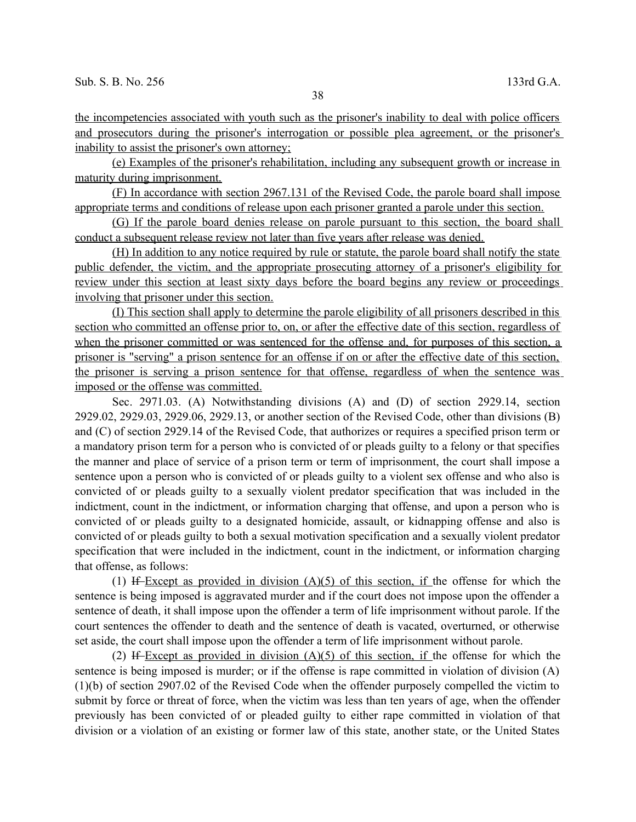the incompetencies associated with youth such as the prisoner's inability to deal with police officers and prosecutors during the prisoner's interrogation or possible plea agreement, or the prisoner's inability to assist the prisoner's own attorney;

(e) Examples of the prisoner's rehabilitation, including any subsequent growth or increase in maturity during imprisonment.

(F) In accordance with section 2967.131 of the Revised Code, the parole board shall impose appropriate terms and conditions of release upon each prisoner granted a parole under this section.

(G) If the parole board denies release on parole pursuant to this section, the board shall conduct a subsequent release review not later than five years after release was denied.

(H) In addition to any notice required by rule or statute, the parole board shall notify the state public defender, the victim, and the appropriate prosecuting attorney of a prisoner's eligibility for review under this section at least sixty days before the board begins any review or proceedings involving that prisoner under this section.

(I) This section shall apply to determine the parole eligibility of all prisoners described in this section who committed an offense prior to, on, or after the effective date of this section, regardless of when the prisoner committed or was sentenced for the offense and, for purposes of this section, a prisoner is "serving" a prison sentence for an offense if on or after the effective date of this section, the prisoner is serving a prison sentence for that offense, regardless of when the sentence was imposed or the offense was committed.

Sec. 2971.03. (A) Notwithstanding divisions (A) and (D) of section 2929.14, section 2929.02, 2929.03, 2929.06, 2929.13, or another section of the Revised Code, other than divisions (B) and (C) of section 2929.14 of the Revised Code, that authorizes or requires a specified prison term or a mandatory prison term for a person who is convicted of or pleads guilty to a felony or that specifies the manner and place of service of a prison term or term of imprisonment, the court shall impose a sentence upon a person who is convicted of or pleads guilty to a violent sex offense and who also is convicted of or pleads guilty to a sexually violent predator specification that was included in the indictment, count in the indictment, or information charging that offense, and upon a person who is convicted of or pleads guilty to a designated homicide, assault, or kidnapping offense and also is convicted of or pleads guilty to both a sexual motivation specification and a sexually violent predator specification that were included in the indictment, count in the indictment, or information charging that offense, as follows:

(1) If Except as provided in division  $(A)(5)$  of this section, if the offense for which the sentence is being imposed is aggravated murder and if the court does not impose upon the offender a sentence of death, it shall impose upon the offender a term of life imprisonment without parole. If the court sentences the offender to death and the sentence of death is vacated, overturned, or otherwise set aside, the court shall impose upon the offender a term of life imprisonment without parole.

(2) If Except as provided in division  $(A)(5)$  of this section, if the offense for which the sentence is being imposed is murder; or if the offense is rape committed in violation of division (A) (1)(b) of section 2907.02 of the Revised Code when the offender purposely compelled the victim to submit by force or threat of force, when the victim was less than ten years of age, when the offender previously has been convicted of or pleaded guilty to either rape committed in violation of that division or a violation of an existing or former law of this state, another state, or the United States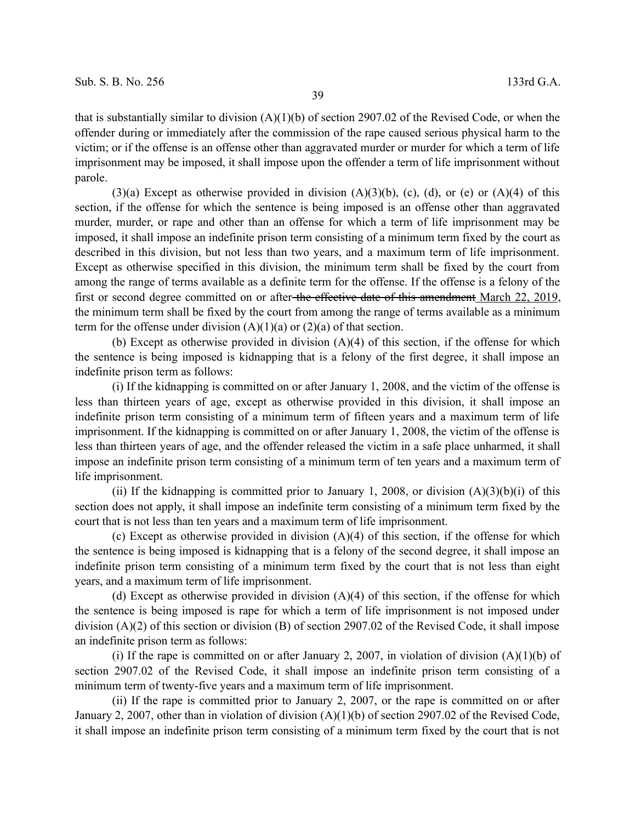that is substantially similar to division  $(A)(1)(b)$  of section 2907.02 of the Revised Code, or when the offender during or immediately after the commission of the rape caused serious physical harm to the victim; or if the offense is an offense other than aggravated murder or murder for which a term of life imprisonment may be imposed, it shall impose upon the offender a term of life imprisonment without parole.

 $(3)(a)$  Except as otherwise provided in division  $(A)(3)(b)$ ,  $(c)$ ,  $(d)$ , or  $(e)$  or  $(A)(4)$  of this section, if the offense for which the sentence is being imposed is an offense other than aggravated murder, murder, or rape and other than an offense for which a term of life imprisonment may be imposed, it shall impose an indefinite prison term consisting of a minimum term fixed by the court as described in this division, but not less than two years, and a maximum term of life imprisonment. Except as otherwise specified in this division, the minimum term shall be fixed by the court from among the range of terms available as a definite term for the offense. If the offense is a felony of the first or second degree committed on or after the effective date of this amendment March 22, 2019, the minimum term shall be fixed by the court from among the range of terms available as a minimum term for the offense under division  $(A)(1)(a)$  or  $(2)(a)$  of that section.

(b) Except as otherwise provided in division (A)(4) of this section, if the offense for which the sentence is being imposed is kidnapping that is a felony of the first degree, it shall impose an indefinite prison term as follows:

(i) If the kidnapping is committed on or after January 1, 2008, and the victim of the offense is less than thirteen years of age, except as otherwise provided in this division, it shall impose an indefinite prison term consisting of a minimum term of fifteen years and a maximum term of life imprisonment. If the kidnapping is committed on or after January 1, 2008, the victim of the offense is less than thirteen years of age, and the offender released the victim in a safe place unharmed, it shall impose an indefinite prison term consisting of a minimum term of ten years and a maximum term of life imprisonment.

(ii) If the kidnapping is committed prior to January 1, 2008, or division  $(A)(3)(b)(i)$  of this section does not apply, it shall impose an indefinite term consisting of a minimum term fixed by the court that is not less than ten years and a maximum term of life imprisonment.

(c) Except as otherwise provided in division (A)(4) of this section, if the offense for which the sentence is being imposed is kidnapping that is a felony of the second degree, it shall impose an indefinite prison term consisting of a minimum term fixed by the court that is not less than eight years, and a maximum term of life imprisonment.

(d) Except as otherwise provided in division (A)(4) of this section, if the offense for which the sentence is being imposed is rape for which a term of life imprisonment is not imposed under division (A)(2) of this section or division (B) of section 2907.02 of the Revised Code, it shall impose an indefinite prison term as follows:

(i) If the rape is committed on or after January 2, 2007, in violation of division  $(A)(1)(b)$  of section 2907.02 of the Revised Code, it shall impose an indefinite prison term consisting of a minimum term of twenty-five years and a maximum term of life imprisonment.

(ii) If the rape is committed prior to January 2, 2007, or the rape is committed on or after January 2, 2007, other than in violation of division (A)(1)(b) of section 2907.02 of the Revised Code, it shall impose an indefinite prison term consisting of a minimum term fixed by the court that is not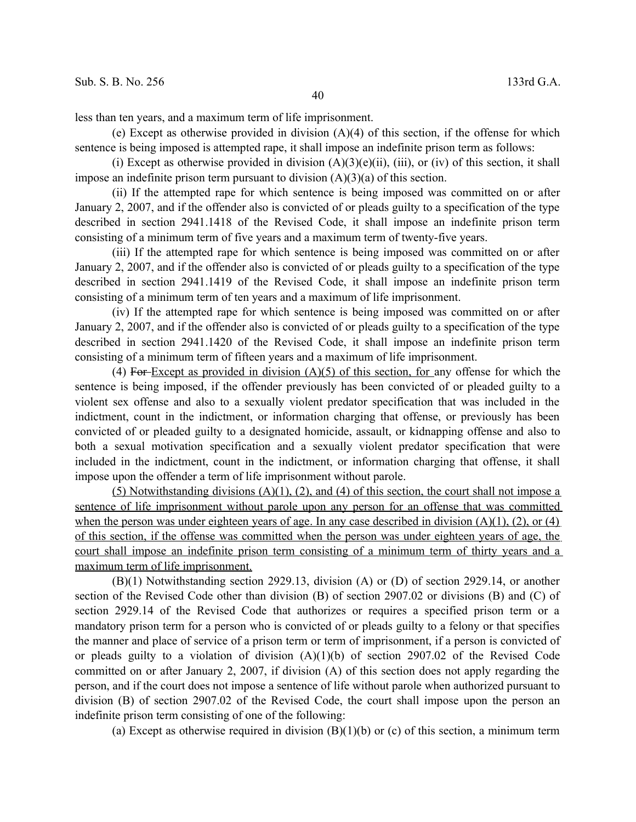less than ten years, and a maximum term of life imprisonment.

(e) Except as otherwise provided in division (A)(4) of this section, if the offense for which sentence is being imposed is attempted rape, it shall impose an indefinite prison term as follows:

(i) Except as otherwise provided in division  $(A)(3)(e)(ii)$ , (iii), or (iv) of this section, it shall impose an indefinite prison term pursuant to division (A)(3)(a) of this section.

(ii) If the attempted rape for which sentence is being imposed was committed on or after January 2, 2007, and if the offender also is convicted of or pleads guilty to a specification of the type described in section 2941.1418 of the Revised Code, it shall impose an indefinite prison term consisting of a minimum term of five years and a maximum term of twenty-five years.

(iii) If the attempted rape for which sentence is being imposed was committed on or after January 2, 2007, and if the offender also is convicted of or pleads guilty to a specification of the type described in section 2941.1419 of the Revised Code, it shall impose an indefinite prison term consisting of a minimum term of ten years and a maximum of life imprisonment.

(iv) If the attempted rape for which sentence is being imposed was committed on or after January 2, 2007, and if the offender also is convicted of or pleads guilty to a specification of the type described in section 2941.1420 of the Revised Code, it shall impose an indefinite prison term consisting of a minimum term of fifteen years and a maximum of life imprisonment.

(4) For-Except as provided in division  $(A)(5)$  of this section, for any offense for which the sentence is being imposed, if the offender previously has been convicted of or pleaded guilty to a violent sex offense and also to a sexually violent predator specification that was included in the indictment, count in the indictment, or information charging that offense, or previously has been convicted of or pleaded guilty to a designated homicide, assault, or kidnapping offense and also to both a sexual motivation specification and a sexually violent predator specification that were included in the indictment, count in the indictment, or information charging that offense, it shall impose upon the offender a term of life imprisonment without parole.

(5) Notwithstanding divisions  $(A)(1)$ ,  $(2)$ , and  $(4)$  of this section, the court shall not impose a sentence of life imprisonment without parole upon any person for an offense that was committed when the person was under eighteen years of age. In any case described in division  $(A)(1)$ ,  $(2)$ , or  $(4)$ of this section, if the offense was committed when the person was under eighteen years of age, the court shall impose an indefinite prison term consisting of a minimum term of thirty years and a maximum term of life imprisonment.

(B)(1) Notwithstanding section 2929.13, division (A) or (D) of section 2929.14, or another section of the Revised Code other than division (B) of section 2907.02 or divisions (B) and (C) of section 2929.14 of the Revised Code that authorizes or requires a specified prison term or a mandatory prison term for a person who is convicted of or pleads guilty to a felony or that specifies the manner and place of service of a prison term or term of imprisonment, if a person is convicted of or pleads guilty to a violation of division (A)(1)(b) of section 2907.02 of the Revised Code committed on or after January 2, 2007, if division (A) of this section does not apply regarding the person, and if the court does not impose a sentence of life without parole when authorized pursuant to division (B) of section 2907.02 of the Revised Code, the court shall impose upon the person an indefinite prison term consisting of one of the following:

(a) Except as otherwise required in division  $(B)(1)(b)$  or (c) of this section, a minimum term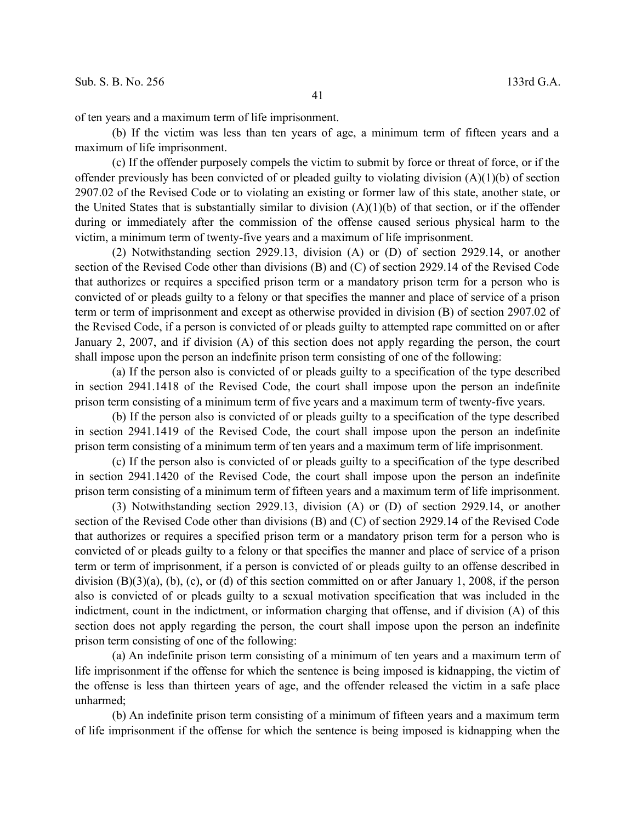of ten years and a maximum term of life imprisonment.

(b) If the victim was less than ten years of age, a minimum term of fifteen years and a maximum of life imprisonment.

(c) If the offender purposely compels the victim to submit by force or threat of force, or if the offender previously has been convicted of or pleaded guilty to violating division (A)(1)(b) of section 2907.02 of the Revised Code or to violating an existing or former law of this state, another state, or the United States that is substantially similar to division  $(A)(1)(b)$  of that section, or if the offender during or immediately after the commission of the offense caused serious physical harm to the victim, a minimum term of twenty-five years and a maximum of life imprisonment.

(2) Notwithstanding section 2929.13, division (A) or (D) of section 2929.14, or another section of the Revised Code other than divisions (B) and (C) of section 2929.14 of the Revised Code that authorizes or requires a specified prison term or a mandatory prison term for a person who is convicted of or pleads guilty to a felony or that specifies the manner and place of service of a prison term or term of imprisonment and except as otherwise provided in division (B) of section 2907.02 of the Revised Code, if a person is convicted of or pleads guilty to attempted rape committed on or after January 2, 2007, and if division (A) of this section does not apply regarding the person, the court shall impose upon the person an indefinite prison term consisting of one of the following:

(a) If the person also is convicted of or pleads guilty to a specification of the type described in section 2941.1418 of the Revised Code, the court shall impose upon the person an indefinite prison term consisting of a minimum term of five years and a maximum term of twenty-five years.

(b) If the person also is convicted of or pleads guilty to a specification of the type described in section 2941.1419 of the Revised Code, the court shall impose upon the person an indefinite prison term consisting of a minimum term of ten years and a maximum term of life imprisonment.

(c) If the person also is convicted of or pleads guilty to a specification of the type described in section 2941.1420 of the Revised Code, the court shall impose upon the person an indefinite prison term consisting of a minimum term of fifteen years and a maximum term of life imprisonment.

(3) Notwithstanding section 2929.13, division (A) or (D) of section 2929.14, or another section of the Revised Code other than divisions (B) and (C) of section 2929.14 of the Revised Code that authorizes or requires a specified prison term or a mandatory prison term for a person who is convicted of or pleads guilty to a felony or that specifies the manner and place of service of a prison term or term of imprisonment, if a person is convicted of or pleads guilty to an offense described in division  $(B)(3)(a)$ ,  $(b)$ ,  $(c)$ , or  $(d)$  of this section committed on or after January 1, 2008, if the person also is convicted of or pleads guilty to a sexual motivation specification that was included in the indictment, count in the indictment, or information charging that offense, and if division (A) of this section does not apply regarding the person, the court shall impose upon the person an indefinite prison term consisting of one of the following:

(a) An indefinite prison term consisting of a minimum of ten years and a maximum term of life imprisonment if the offense for which the sentence is being imposed is kidnapping, the victim of the offense is less than thirteen years of age, and the offender released the victim in a safe place unharmed;

(b) An indefinite prison term consisting of a minimum of fifteen years and a maximum term of life imprisonment if the offense for which the sentence is being imposed is kidnapping when the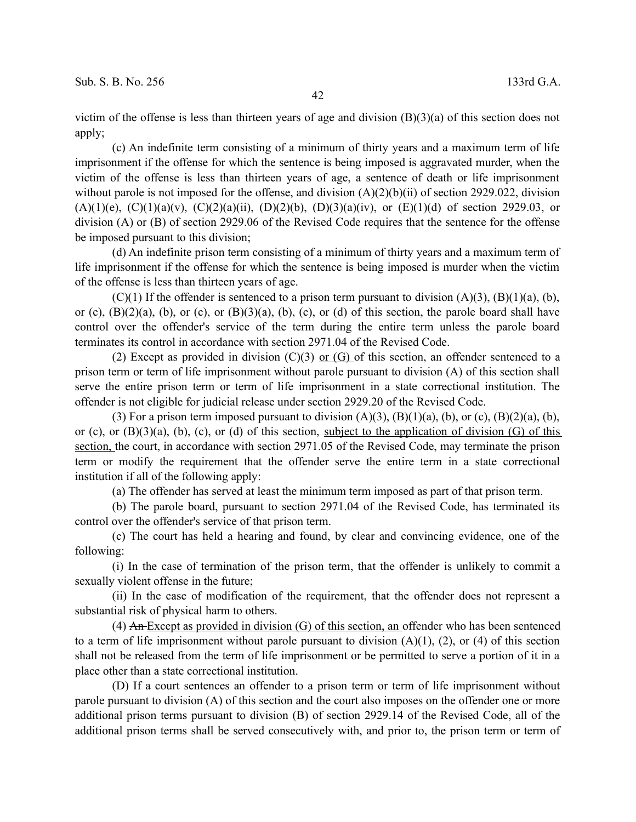victim of the offense is less than thirteen years of age and division (B)(3)(a) of this section does not apply;

(c) An indefinite term consisting of a minimum of thirty years and a maximum term of life imprisonment if the offense for which the sentence is being imposed is aggravated murder, when the victim of the offense is less than thirteen years of age, a sentence of death or life imprisonment without parole is not imposed for the offense, and division  $(A)(2)(b)(ii)$  of section 2929.022, division  $(A)(1)(e)$ ,  $(C)(1)(a)(v)$ ,  $(C)(2)(a)(ii)$ ,  $(D)(2)(b)$ ,  $(D)(3)(a)(iv)$ , or  $(E)(1)(d)$  of section 2929.03, or division (A) or (B) of section 2929.06 of the Revised Code requires that the sentence for the offense be imposed pursuant to this division;

(d) An indefinite prison term consisting of a minimum of thirty years and a maximum term of life imprisonment if the offense for which the sentence is being imposed is murder when the victim of the offense is less than thirteen years of age.

 $(C)(1)$  If the offender is sentenced to a prison term pursuant to division  $(A)(3)$ ,  $(B)(1)(a)$ ,  $(b)$ , or (c),  $(B)(2)(a)$ ,  $(b)$ , or  $(c)$ , or  $(B)(3)(a)$ ,  $(b)$ ,  $(c)$ , or  $(d)$  of this section, the parole board shall have control over the offender's service of the term during the entire term unless the parole board terminates its control in accordance with section 2971.04 of the Revised Code.

(2) Except as provided in division  $(C)(3)$  or  $(G)$  of this section, an offender sentenced to a prison term or term of life imprisonment without parole pursuant to division (A) of this section shall serve the entire prison term or term of life imprisonment in a state correctional institution. The offender is not eligible for judicial release under section 2929.20 of the Revised Code.

(3) For a prison term imposed pursuant to division  $(A)(3)$ ,  $(B)(1)(a)$ ,  $(b)$ , or  $(c)$ ,  $(B)(2)(a)$ ,  $(b)$ , or (c), or  $(B)(3)(a)$ , (b), (c), or (d) of this section, subject to the application of division (G) of this section, the court, in accordance with section 2971.05 of the Revised Code, may terminate the prison term or modify the requirement that the offender serve the entire term in a state correctional institution if all of the following apply:

(a) The offender has served at least the minimum term imposed as part of that prison term.

(b) The parole board, pursuant to section 2971.04 of the Revised Code, has terminated its control over the offender's service of that prison term.

(c) The court has held a hearing and found, by clear and convincing evidence, one of the following:

(i) In the case of termination of the prison term, that the offender is unlikely to commit a sexually violent offense in the future;

(ii) In the case of modification of the requirement, that the offender does not represent a substantial risk of physical harm to others.

(4) An-Except as provided in division  $(G)$  of this section, an offender who has been sentenced to a term of life imprisonment without parole pursuant to division  $(A)(1)$ ,  $(2)$ , or  $(4)$  of this section shall not be released from the term of life imprisonment or be permitted to serve a portion of it in a place other than a state correctional institution.

(D) If a court sentences an offender to a prison term or term of life imprisonment without parole pursuant to division (A) of this section and the court also imposes on the offender one or more additional prison terms pursuant to division (B) of section 2929.14 of the Revised Code, all of the additional prison terms shall be served consecutively with, and prior to, the prison term or term of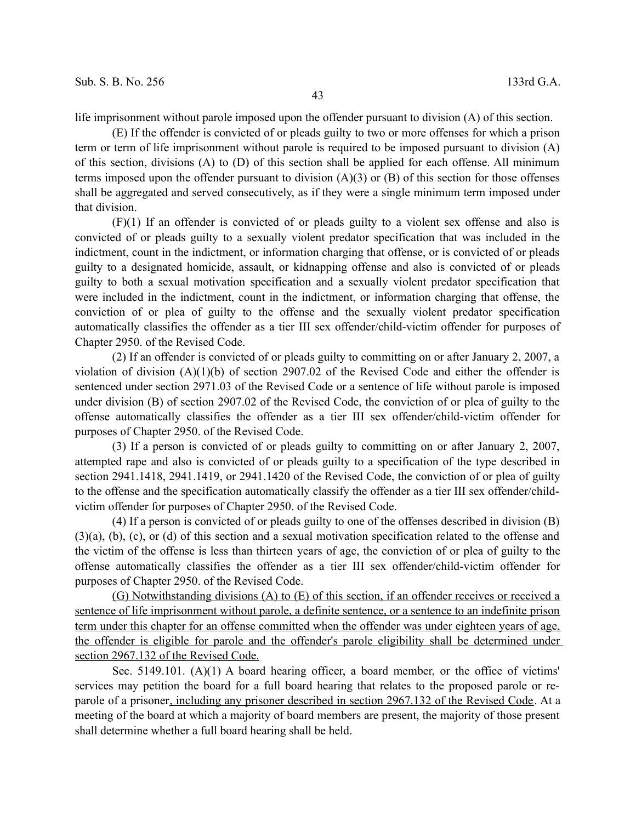life imprisonment without parole imposed upon the offender pursuant to division (A) of this section.

(E) If the offender is convicted of or pleads guilty to two or more offenses for which a prison term or term of life imprisonment without parole is required to be imposed pursuant to division (A) of this section, divisions (A) to (D) of this section shall be applied for each offense. All minimum terms imposed upon the offender pursuant to division (A)(3) or (B) of this section for those offenses shall be aggregated and served consecutively, as if they were a single minimum term imposed under that division.

(F)(1) If an offender is convicted of or pleads guilty to a violent sex offense and also is convicted of or pleads guilty to a sexually violent predator specification that was included in the indictment, count in the indictment, or information charging that offense, or is convicted of or pleads guilty to a designated homicide, assault, or kidnapping offense and also is convicted of or pleads guilty to both a sexual motivation specification and a sexually violent predator specification that were included in the indictment, count in the indictment, or information charging that offense, the conviction of or plea of guilty to the offense and the sexually violent predator specification automatically classifies the offender as a tier III sex offender/child-victim offender for purposes of Chapter 2950. of the Revised Code.

(2) If an offender is convicted of or pleads guilty to committing on or after January 2, 2007, a violation of division (A)(1)(b) of section 2907.02 of the Revised Code and either the offender is sentenced under section 2971.03 of the Revised Code or a sentence of life without parole is imposed under division (B) of section 2907.02 of the Revised Code, the conviction of or plea of guilty to the offense automatically classifies the offender as a tier III sex offender/child-victim offender for purposes of Chapter 2950. of the Revised Code.

(3) If a person is convicted of or pleads guilty to committing on or after January 2, 2007, attempted rape and also is convicted of or pleads guilty to a specification of the type described in section 2941.1418, 2941.1419, or 2941.1420 of the Revised Code, the conviction of or plea of guilty to the offense and the specification automatically classify the offender as a tier III sex offender/childvictim offender for purposes of Chapter 2950. of the Revised Code.

(4) If a person is convicted of or pleads guilty to one of the offenses described in division (B) (3)(a), (b), (c), or (d) of this section and a sexual motivation specification related to the offense and the victim of the offense is less than thirteen years of age, the conviction of or plea of guilty to the offense automatically classifies the offender as a tier III sex offender/child-victim offender for purposes of Chapter 2950. of the Revised Code.

(G) Notwithstanding divisions (A) to (E) of this section, if an offender receives or received a sentence of life imprisonment without parole, a definite sentence, or a sentence to an indefinite prison term under this chapter for an offense committed when the offender was under eighteen years of age, the offender is eligible for parole and the offender's parole eligibility shall be determined under section 2967.132 of the Revised Code.

Sec. 5149.101. (A)(1) A board hearing officer, a board member, or the office of victims' services may petition the board for a full board hearing that relates to the proposed parole or reparole of a prisoner, including any prisoner described in section 2967.132 of the Revised Code. At a meeting of the board at which a majority of board members are present, the majority of those present shall determine whether a full board hearing shall be held.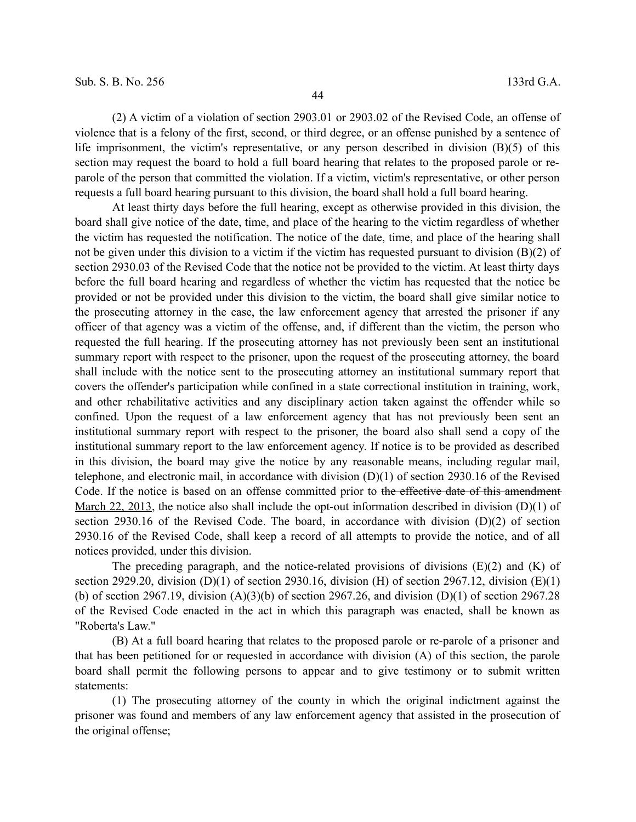(2) A victim of a violation of section 2903.01 or 2903.02 of the Revised Code, an offense of violence that is a felony of the first, second, or third degree, or an offense punished by a sentence of life imprisonment, the victim's representative, or any person described in division (B)(5) of this section may request the board to hold a full board hearing that relates to the proposed parole or reparole of the person that committed the violation. If a victim, victim's representative, or other person requests a full board hearing pursuant to this division, the board shall hold a full board hearing.

At least thirty days before the full hearing, except as otherwise provided in this division, the board shall give notice of the date, time, and place of the hearing to the victim regardless of whether the victim has requested the notification. The notice of the date, time, and place of the hearing shall not be given under this division to a victim if the victim has requested pursuant to division (B)(2) of section 2930.03 of the Revised Code that the notice not be provided to the victim. At least thirty days before the full board hearing and regardless of whether the victim has requested that the notice be provided or not be provided under this division to the victim, the board shall give similar notice to the prosecuting attorney in the case, the law enforcement agency that arrested the prisoner if any officer of that agency was a victim of the offense, and, if different than the victim, the person who requested the full hearing. If the prosecuting attorney has not previously been sent an institutional summary report with respect to the prisoner, upon the request of the prosecuting attorney, the board shall include with the notice sent to the prosecuting attorney an institutional summary report that covers the offender's participation while confined in a state correctional institution in training, work, and other rehabilitative activities and any disciplinary action taken against the offender while so confined. Upon the request of a law enforcement agency that has not previously been sent an institutional summary report with respect to the prisoner, the board also shall send a copy of the institutional summary report to the law enforcement agency. If notice is to be provided as described in this division, the board may give the notice by any reasonable means, including regular mail, telephone, and electronic mail, in accordance with division  $(D)(1)$  of section 2930.16 of the Revised Code. If the notice is based on an offense committed prior to the effective date of this amendment March 22, 2013, the notice also shall include the opt-out information described in division (D)(1) of section 2930.16 of the Revised Code. The board, in accordance with division (D)(2) of section 2930.16 of the Revised Code, shall keep a record of all attempts to provide the notice, and of all notices provided, under this division.

The preceding paragraph, and the notice-related provisions of divisions  $(E)(2)$  and  $(K)$  of section 2929.20, division  $(D)(1)$  of section 2930.16, division  $(H)$  of section 2967.12, division  $(E)(1)$ (b) of section 2967.19, division  $(A)(3)(b)$  of section 2967.26, and division  $(D)(1)$  of section 2967.28 of the Revised Code enacted in the act in which this paragraph was enacted, shall be known as "Roberta's Law."

(B) At a full board hearing that relates to the proposed parole or re-parole of a prisoner and that has been petitioned for or requested in accordance with division (A) of this section, the parole board shall permit the following persons to appear and to give testimony or to submit written statements:

(1) The prosecuting attorney of the county in which the original indictment against the prisoner was found and members of any law enforcement agency that assisted in the prosecution of the original offense;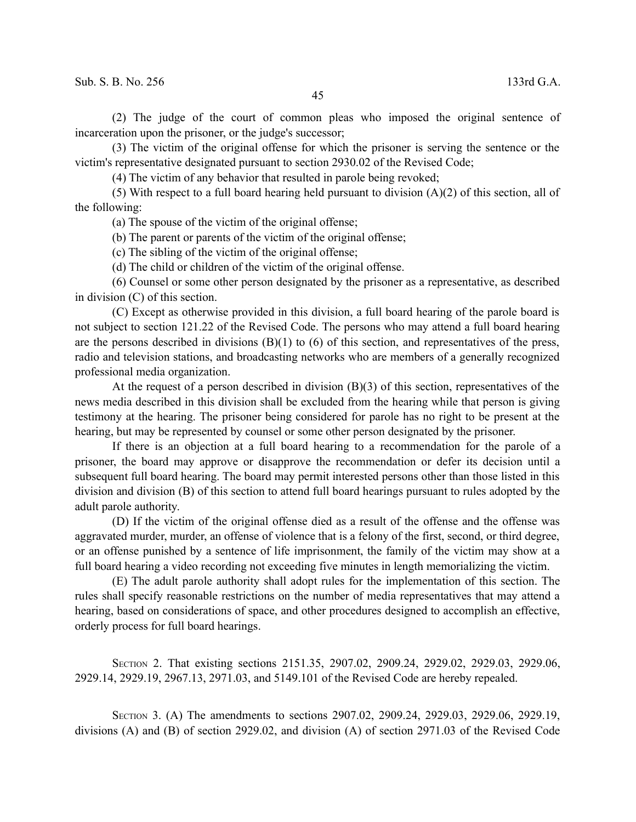(2) The judge of the court of common pleas who imposed the original sentence of incarceration upon the prisoner, or the judge's successor;

(3) The victim of the original offense for which the prisoner is serving the sentence or the victim's representative designated pursuant to section 2930.02 of the Revised Code;

(4) The victim of any behavior that resulted in parole being revoked;

(5) With respect to a full board hearing held pursuant to division (A)(2) of this section, all of the following:

(a) The spouse of the victim of the original offense;

(b) The parent or parents of the victim of the original offense;

(c) The sibling of the victim of the original offense;

(d) The child or children of the victim of the original offense.

(6) Counsel or some other person designated by the prisoner as a representative, as described in division (C) of this section.

(C) Except as otherwise provided in this division, a full board hearing of the parole board is not subject to section 121.22 of the Revised Code. The persons who may attend a full board hearing are the persons described in divisions  $(B)(1)$  to  $(6)$  of this section, and representatives of the press, radio and television stations, and broadcasting networks who are members of a generally recognized professional media organization.

At the request of a person described in division (B)(3) of this section, representatives of the news media described in this division shall be excluded from the hearing while that person is giving testimony at the hearing. The prisoner being considered for parole has no right to be present at the hearing, but may be represented by counsel or some other person designated by the prisoner.

If there is an objection at a full board hearing to a recommendation for the parole of a prisoner, the board may approve or disapprove the recommendation or defer its decision until a subsequent full board hearing. The board may permit interested persons other than those listed in this division and division (B) of this section to attend full board hearings pursuant to rules adopted by the adult parole authority.

(D) If the victim of the original offense died as a result of the offense and the offense was aggravated murder, murder, an offense of violence that is a felony of the first, second, or third degree, or an offense punished by a sentence of life imprisonment, the family of the victim may show at a full board hearing a video recording not exceeding five minutes in length memorializing the victim.

(E) The adult parole authority shall adopt rules for the implementation of this section. The rules shall specify reasonable restrictions on the number of media representatives that may attend a hearing, based on considerations of space, and other procedures designed to accomplish an effective, orderly process for full board hearings.

SECTION 2. That existing sections 2151.35, 2907.02, 2909.24, 2929.02, 2929.03, 2929.06, 2929.14, 2929.19, 2967.13, 2971.03, and 5149.101 of the Revised Code are hereby repealed.

SECTION 3. (A) The amendments to sections 2907.02, 2909.24, 2929.03, 2929.06, 2929.19, divisions (A) and (B) of section 2929.02, and division (A) of section 2971.03 of the Revised Code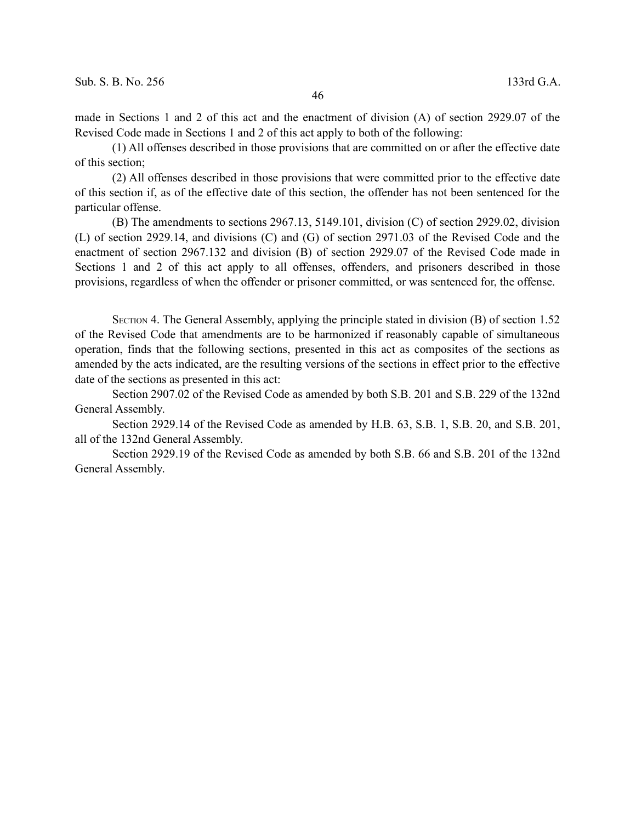made in Sections 1 and 2 of this act and the enactment of division (A) of section 2929.07 of the Revised Code made in Sections 1 and 2 of this act apply to both of the following:

(1) All offenses described in those provisions that are committed on or after the effective date of this section;

(2) All offenses described in those provisions that were committed prior to the effective date of this section if, as of the effective date of this section, the offender has not been sentenced for the particular offense.

(B) The amendments to sections 2967.13, 5149.101, division (C) of section 2929.02, division (L) of section 2929.14, and divisions (C) and (G) of section 2971.03 of the Revised Code and the enactment of section 2967.132 and division (B) of section 2929.07 of the Revised Code made in Sections 1 and 2 of this act apply to all offenses, offenders, and prisoners described in those provisions, regardless of when the offender or prisoner committed, or was sentenced for, the offense.

SECTION 4. The General Assembly, applying the principle stated in division (B) of section 1.52 of the Revised Code that amendments are to be harmonized if reasonably capable of simultaneous operation, finds that the following sections, presented in this act as composites of the sections as amended by the acts indicated, are the resulting versions of the sections in effect prior to the effective date of the sections as presented in this act:

Section 2907.02 of the Revised Code as amended by both S.B. 201 and S.B. 229 of the 132nd General Assembly.

Section 2929.14 of the Revised Code as amended by H.B. 63, S.B. 1, S.B. 20, and S.B. 201, all of the 132nd General Assembly.

Section 2929.19 of the Revised Code as amended by both S.B. 66 and S.B. 201 of the 132nd General Assembly.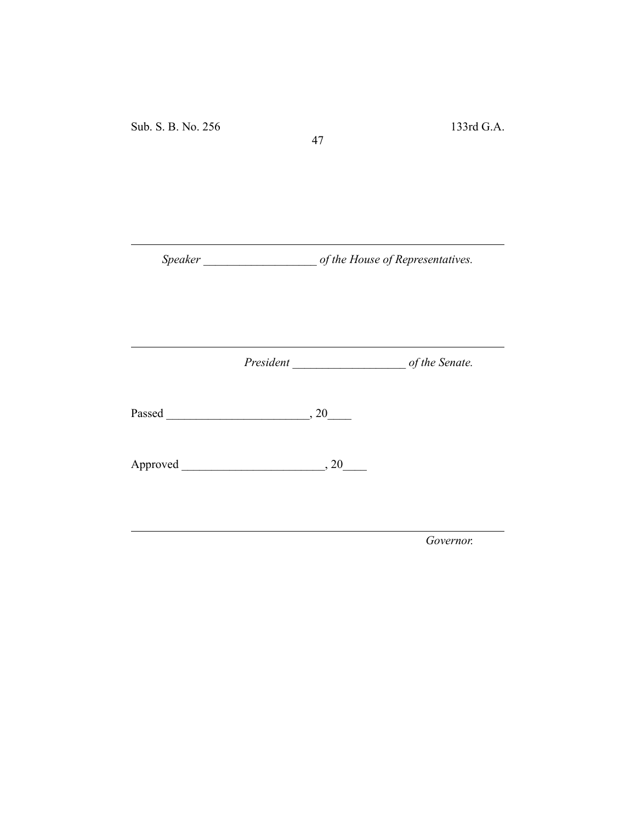*Speaker \_\_\_\_\_\_\_\_\_\_\_\_\_\_\_\_\_\_\_ of the House of Representatives.*

47

*President \_\_\_\_\_\_\_\_\_\_\_\_\_\_\_\_\_\_\_ of the Senate.*

Passed \_\_\_\_\_\_\_\_\_\_\_\_\_\_\_\_\_\_\_\_\_\_\_\_, 20\_\_\_\_

Approved \_\_\_\_\_\_\_\_\_\_\_\_\_\_\_\_\_\_\_\_\_\_\_\_, 20\_\_\_\_

*Governor.*